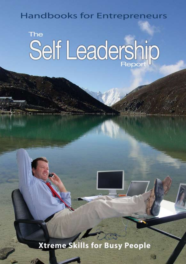# **Handbooks for Entrepreneurs**

# **The** Self Leadership

**Xtreme Skills for Busy People**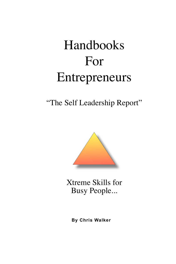# Handbooks For Entrepreneurs

"The Self Leadership Report"



Xtreme Skills for Busy People...

**By Chris Walker**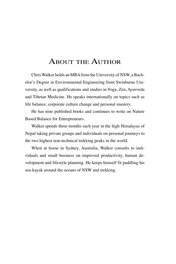# ABOUT THE AUTHOR

Chris Walker holds an MBA from the University of NSW, a Bachelor's Degree in Environmental Engineering from Swinburne University, as well as qualifications and studies in Yoga, Zen, Ayurveda and Tibetan Medicine. He speaks internationally on topics such as life balance, corporate culture change and personal mastery.

He has nine published books and continues to write on Nature Based Balance for Entrepreneurs.

Walker spends three months each year in the high Himalayas of Nepal taking private groups and individuals on personal journeys to the two highest non-technical trekking peaks in the world.

When at home in Sydney, Australia, Walker consults to individuals and small business on improved productivity, human development and lifestyle planning. He keeps himself fit paddling his sea-kayak around the oceans of NSW and trekking.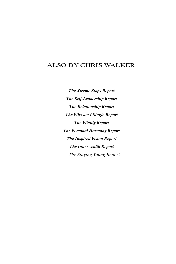# also by chris walker

*The Xtreme Stops Report The Self-Leadership Report The Relationship Report The Why am I Single Report The Vitality Report The Personal Harmony Report The Inspired Vision Report The Innerwealth Report The Staying Young Report*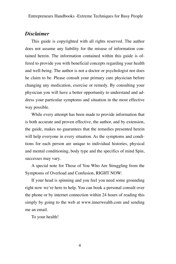# *Disclaimer*

This guide is copyrighted with all rights reserved. The author does not assume any liability for the misuse of information contained herein. The information contained within this guide is offered to provide you with beneficial concepts regarding your health and well-being. The author is not a doctor or psychologist nor does he claim to be. Please consult your primary care physician before changing any medication, exercise or remedy. By consulting your physician you will have a better opportunity to understand and address your particular symptoms and situation in the most effective way possible.

While every attempt has been made to provide information that is both accurate and proven effective, the author, and by extension, the guide, makes no guarantees that the remedies presented herein will help everyone in every situation. As the symptoms and conditions for each person are unique to individual histories, physical and mental conditioning, body type and the specifics of mind Spin, successes may vary.

A special note for Those of You Who Are Struggling from the Symptoms of Overload and Confusion, RIGHT NOW:

If your head is spinning and you feel you need some grounding right now we're here to help. You can book a personal consult over the phone or by internet connection within 24 hours of reading this simply by going to the web at www.innerwealth.com and sending me an email.

To your health!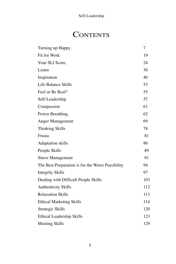# **CONTENTS**

| Turning up Happy.                                 | 7   |
|---------------------------------------------------|-----|
| Fit for Work                                      | 19  |
| Your SLI Score.                                   | 24  |
| Listen                                            | 36  |
| Inspiration                                       | 40  |
| Life Balance Skills                               | 53  |
| Feel or Be Real?                                  | 55  |
| Self-Leadership                                   | 57  |
| Compassion                                        | 61  |
| Power Breathing.                                  | 62  |
| Anger Management                                  | 69  |
| <b>Thinking Skills</b>                            | 78  |
| Frusta                                            | 81  |
| <b>Adaptation</b> skills                          | 86  |
| People Skills                                     | 89  |
| <b>Stress Management</b>                          | 91  |
| The Best Preparation is for the Worst Possibility | 94  |
| <b>Integrity Skills</b>                           | 97  |
| Dealing with Difficult People Skills.             | 103 |
| <b>Authenticity Skills</b>                        | 112 |
| <b>Relaxation Skills</b>                          | 113 |
| <b>Ethical Marketing Skills</b>                   | 114 |
| Strategic Skills                                  | 120 |
| Ethical Leadership Skills                         | 123 |
| Meeting Skills                                    | 129 |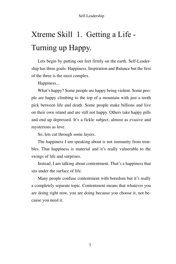# Xtreme Skill 1. Getting a Life - Turning up Happy.

Lets begin by putting our feet firmly on the earth. Self-Leadership has three goals: Happiness. Inspiration and Balance but the first of the three is the most complex.

Happiness...

What's happy? Some people are happy being violent. Some people are happy climbing to the top of a mountain with just a tooth pick between life and death. Some people make billions and live on their own island and are still not happy. Others take happy pills and end up depressed. It's a fickle subject, almost as evasive and mysterious as love.

So, lets cut through some layers.

The happiness I am speaking about is not immunity from troubles. That happiness is material and it's really vulnerable to the swings of life and surprises.

Instead, I am talking about contentment. That's a happiness that sits under the surface of life.

Many people confuse contentment with boredom but it's really a completely separate topic. Contentment means that whatever you are doing right now, you are doing because you choose it, not because you need it.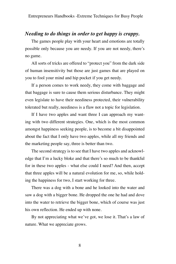# *Needing to do things in order to get happy is crappy.*

The games people play with your heart and emotions are totally possible only because you are needy. If you are not needy, there's no game.

All sorts of tricks are offered to "protect you" from the dark side of human insensitivity but those are just games that are played on you to fool your mind and hip pocket if you get needy.

If a person comes to work needy, they come with baggage and that baggage is sure to cause them serious disturbance. They might even legislate to have their neediness protected, their vulnerability tolerated but really, neediness is a flaw not a topic for legislation.

If I have two apples and want three I can approach my wanting with two different strategies. One, which is the most common amongst happiness seeking people, is to become a bit disappointed about the fact that I only have two apples, while all my friends and the marketing people say, three is better than two.

The second strategy is to see that I have two apples and acknowledge that I'm a lucky bloke and that there's so much to be thankful for in these two apples - what else could I need? And then, accept that three apples will be a natural evolution for me, so, while holding the happiness for two, I start working for three.

There was a dog with a bone and he looked into the water and saw a dog with a bigger bone. He dropped the one he had and dove into the water to retrieve the bigger bone, which of course was just his own reflection. He ended up with none.

By not appreciating what we've got, we lose it. That's a law of nature. What we appreciate grows.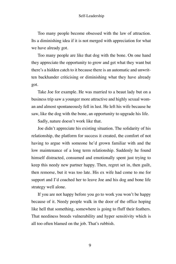Too many people become obsessed with the law of attraction. Its a diminishing idea if it is not merged with appreciation for what we have already got.

Too many people are like that dog with the bone. On one hand they appreciate the opportunity to grow and get what they want but there's a hidden catch to it because there is an automatic and unwritten backhander criticising or diminishing what they have already got.

Take Joe for example. He was married to a beaut lady but on a business trip saw a younger more attractive and highly sexual woman and almost spontaneously fell in lust. He left his wife because he saw, like the dog with the bone, an opportunity to upgrade his life.

Sadly, nature doesn't work like that.

Joe didn't appreciate his existing situation. The solidarity of his relationship, the platform for success it created, the comfort of not having to argue with someone he'd grown familiar with and the low maintenance of a long term relationship. Suddenly he found himself distracted, consumed and emotionally spent just trying to keep this needy new partner happy. Then, regret set in, then guilt, then remorse, but it was too late. His ex wife had come to me for support and I'd coached her to leave Joe and his dog and bone life strategy well alone.

If you are not happy before you go to work you won't be happy because of it. Needy people walk in the door of the office hoping like hell that something, somewhere is going to fluff their feathers. That neediness breeds vulnerability and hyper sensitivity which is all too often blamed on the job. That's rubbish.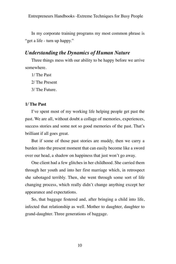In my corporate training programs my most common phrase is "get a life - turn up happy."

# *Understanding the Dynamics of Human Nature*

Three things mess with our ability to be happy before we arrive somewhere.

1/ The Past

2/ The Present

3/ The Future.

# **1/ The Past**

I've spent most of my working life helping people get past the past. We are all, without doubt a collage of memories, experiences, success stories and some not so good memories of the past. That's brilliant if all goes great.

But if some of those past stories are muddy, then we carry a burden into the present moment that can easily become like a sword over our head, a shadow on happiness that just won't go away.

One client had a few glitches in her childhood. She carried them through her youth and into her first marriage which, in retrospect she sabotaged terribly. Then, she went through some sort of life changing process, which really didn't change anything except her appearance and expectations.

So, that baggage festered and, after bringing a child into life, infected that relationship as well. Mother to daughter, daughter to grand-daughter. Three generations of baggage.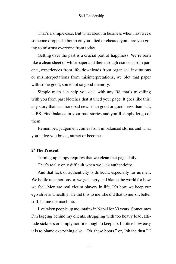That's a simple case. But what about in business when, last week someone dropped a bomb on you - lied or cheated you - are you going to mistrust everyone from today.

Getting over the past is a crucial part of happiness. We're born like a clean sheet of white paper and then through osmosis from parents, experiences from life, downloads from organised institutions or misinterpretations from misinterpretations, we blot that paper with some good, some not so good memory.

Simple math can help you deal with any BS that's travelling with you from past blotches that stained your page. It goes like this: any story that has more bad news than good or good news than bad, is BS. Find balance in your past stories and you'll simply let go of them.

Remember, judgement comes from imbalanced stories and what you judge you breed, attract or become.

# **2/ The Present**

Turning up happy requires that we clean that page daily.

That's really only difficult when we lack authenticity.

And that lack of authenticity is difficult, especially for us men. We bottle up emotions or, we get angry and blame the world for how we feel. Men are real victim players in life. It's how we keep our ego alive and healthy. He did this to me, she did that to me, or, better still, blame the machine.

I've taken people up mountains in Nepal for 30 years. Sometimes I'm lagging behind my clients, struggling with too heavy load, altitude sickness or simply not fit enough to keep up. I notice how easy it is to blame everything else. "Oh, these boots," or, "oh the dust." I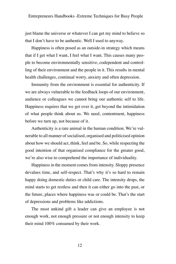just blame the universe or whatever I can get my mind to believe so that I don't have to be authentic. Well I used to anyway.

Happiness is often posed as an outside-in strategy which means that if I get what I want, I feel what I want. This causes many people to become environmentally sensitive, codependent and controlling of their environment and the people in it. This results in mental health challenges, continual worry, anxiety and often depression.

Immunity from the environment is essential for authenticity. If we are always vulnerable to the feedback loops of our environment, audience or colleagues we cannot bring our authentic self to life. Happiness requires that we get over it, get beyond the intimidation of what people think about us. We need, contentment, happiness before we turn up, not because of it.

Authenticity is a rare animal in the human condition. We're vulnerable to all manner of socialised, organised and politicised opinion about how we should act, think, feel and be. So, while respecting the good intention of that organised compliance for the greater good, we're also wise to comprehend the importance of individuality.

Happiness in the moment comes from intensity. Sloppy presence devalues time, and self-respect. That's why it's so hard to remain happy doing domestic duties or child care. The intensity drops, the mind starts to get restless and then it can either go into the past, or the future, places where happiness was or could be. That's the start of depressions and problems like addictions.

The most unkind gift a leader can give an employee is not enough work, not enough pressure or not enough intensity to keep their mind 100% consumed by their work.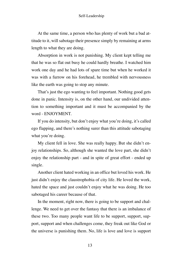At the same time, a person who has plenty of work but a bad attitude to it, will sabotage their presence simply by remaining at arms length to what they are doing.

Absorption in work is not punishing. My client kept telling me that he was so flat out busy he could hardly breathe. I watched him work one day and he had lots of spare time but when he worked it was with a furrow on his forehead, he trembled with nervousness like the earth was going to stop any minute.

That's just the ego wanting to feel important. Nothing good gets done in panic. Intensity is, on the other hand, our undivided attention to something important and it must be accompanied by the word - ENJOYMENT.

If you do intensity, but don't enjoy what you're doing, it's called ego flapping, and there's nothing surer than this attitude sabotaging what you're doing.

My client fell in love. She was really happy. But she didn't enjoy relationships. So, although she wanted the love part, she didn't enjoy the relationship part - and in spite of great effort - ended up single.

Another client hated working in an office but loved his work. He just didn't enjoy the claustrophobia of city life. He loved the work, hated the space and just couldn't enjoy what he was doing. He too sabotaged his career because of that.

In the moment, right now, there is going to be support and challenge. We need to get over the fantasy that there is an imbalance of these two. Too many people want life to be support, support, support, support and when challenges come, they freak out like God or the universe is punishing them. No, life is love and love is support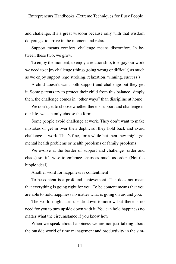and challenge. It's a great wisdom because only with that wisdom do you get to arrive in the moment and relax.

Support means comfort, challenge means discomfort. In between these two, we grow.

To enjoy the moment, to enjoy a relationship, to enjoy our work we need to enjoy challenge (things going wrong or difficult) as much as we enjoy support (ego stroking, relaxation, winning, success.)

A child doesn't want both support and challenge but they get it. Some parents try to protect their child from this balance, simply then, the challenge comes in "other ways" than discipline at home.

We don't get to choose whether there is support and challenge in our life, we can only choose the form.

Some people avoid challenge at work. They don't want to make mistakes or get in over their depth, so, they hold back and avoid challenge at work. That's fine, for a while but then they might get mental health problems or health problems or family problems.

We evolve at the border of support and challenge (order and chaos) so, it's wise to embrace chaos as much as order. (Not the hippie ideal)

Another word for happiness is contentment.

To be content is a profound achievement. This does not mean that everything is going right for you. To be content means that you are able to hold happiness no matter what is going on around you.

The world might turn upside down tomorrow but there is no need for you to turn upside down with it. You can hold happiness no matter what the circumstance if you know how.

When we speak about happiness we are not just talking about the outside world of time management and productivity in the sim-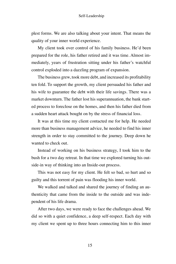plest forms. We are also talking about your intent. That means the quality of your inner world experience.

My client took over control of his family business. He'd been prepared for the role, his father retired and it was time. Almost immediately, years of frustration sitting under his father's watchful control exploded into a dazzling program of expansion.

The business grew, took more debt, and increased its profitability ten fold. To support the growth, my client persuaded his father and his wife to guarantee the debt with their life savings. There was a market downturn. The father lost his superannuation, the bank started process to foreclose on the homes, and then his father died from a sudden heart attack bought on by the stress of financial loss.

It was at this time my client contacted me for help. He needed more than business management advice, he needed to find his inner strength in order to stay committed to the journey. Deep down he wanted to check out.

Instead of working on his business strategy, I took him to the bush for a two day retreat. In that time we explored turning his outside-in way of thinking into an Inside-out process.

This was not easy for my client. He felt so bad, so hurt and so guilty and this torrent of pain was flooding his inner world.

We walked and talked and shared the journey of finding an authenticity that came from the inside to the outside and was independent of his life drama.

After two days, we were ready to face the challenges ahead. We did so with a quiet confidence, a deep self-respect. Each day with my client we spent up to three hours connecting him to this inner

15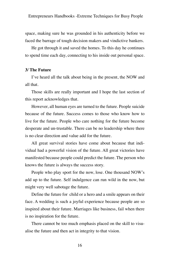space, making sure he was grounded in his authenticity before we faced the barrage of tough decision makers and vindictive bankers.

He got through it and saved the homes. To this day he continues to spend time each day, connecting to his inside out personal space.

# **3/ The Future**

I've heard all the talk about being in the present, the NOW and all that.

Those skills are really important and I hope the last section of this report acknowledges that.

However, all human eyes are turned to the future. People suicide because of the future. Success comes to those who know how to live for the future. People who care nothing for the future become desperate and un-trustable. There can be no leadership where there is no clear direction and value add for the future.

All great survival stories have come about because that individual had a powerful vision of the future. All great victories have manifested because people could predict the future. The person who knows the future is always the success story.

People who play sport for the now, lose. One thousand NOW's add up to the future. Self indulgence can run wild in the now, but might very well sabotage the future.

Define the future for child or a hero and a smile appears on their face. A wedding is such a joyful experience because people are so inspired about their future. Marriages like business, fail when there is no inspiration for the future.

There cannot be too much emphasis placed on the skill to visualise the future and then act in integrity to that vision.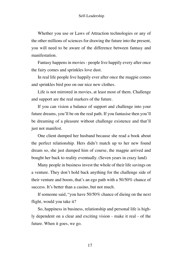Whether you use or Laws of Attraction technologies or any of the other millions of sciences for drawing the future into the present, you will need to be aware of the difference between fantasy and manifestation.

Fantasy happens in movies - people live happily every after once the fairy comes and sprinkles love dust.

In real life people live happily ever after once the magpie comes and sprinkles bird poo on our nice new clothes.

Life is not mirrored in movies, at least most of them. Challenge and support are the real markers of the future.

If you can vision a balance of support and challenge into your future dreams, you'll be on the real path. If you fantasise then you'll be dreaming of a pleasure without challenge existence and that'll just not manifest.

One client dumped her husband because she read a book about the perfect relationship. Hers didn't match up to her new found dream so, she just dumped him of course, the magpie arrived and bought her back to reality eventually. (Seven years in crazy land)

Many people in business invest the whole of their life savings on a venture. They don't hold back anything for the challenge side of their venture and boom, that's an ego path with a 50/50% chance of success. It's better than a casino, but not much.

If someone said, "you have 50/50% chance of dieing on the next flight, would you take it?

So, happiness in business, relationship and personal life is highly dependent on a clear and exciting vision - make it real - of the future. When it goes, we go.

17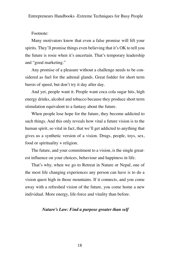Footnote:

Many motivators know that even a false promise will lift your spirits. They'll promise things even believing that it's OK to tell you the future is rosie when it's uncertain. That's temporary leadership and "good marketing."

Any promise of a pleasure without a challenge needs to be considered as fuel for the adrenal glands. Great fodder for short term bursts of speed, but don't try it day after day.

And yet, people want it. People want coca cola sugar hits, high energy drinks, alcohol and tobacco because they produce short term stimulation equivalent to a fantasy about the future.

When people lose hope for the future, they become addicted to such things. And this only reveals how vital a future vision is to the human spirit, so vital in fact, that we'll get addicted to anything that gives us a synthetic version of a vision. Drugs, people, toys, sex, food or spirituality + religion.

The future, and your commitment to a vision, is the single greatest influence on your choices, behaviour and happiness in life.

That's why, when we go to Retreat in Nature or Nepal, one of the most life changing experiences any person can have is to do a vision quest high in those mountains. If it connects, and you come away with a refreshed vision of the future, you come home a new individual. More energy, life-force and vitality than before.

## *Nature's Law: Find a purpose greater than self*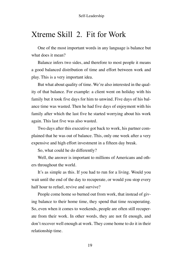# Xtreme Skill 2. Fit for Work

One of the most important words in any language is balance but what does it mean?

Balance infers two sides, and therefore to most people it means a good balanced distribution of time and effort between work and play. This is a very important idea.

But what about quality of time. We're also interested in the quality of that balance. For example: a client went on holiday with his family but it took five days for him to unwind. Five days of his balance time was wasted. Then he had five days of enjoyment with his family after which the last five he started worrying about his work again. This last five was also wasted.

Two days after this executive got back to work, his partner complained that he was out of balance. This, only one week after a very expensive and high effort investment in a fifteen day break.

So, what could he do differently?

Well, the answer is important to millions of Americans and others throughout the world.

It's as simple as this. If you had to run for a living. Would you wait until the end of the day to recuperate, or would you stop every half hour to refuel, revive and survive?

People come home so burned out from work, that instead of giving balance to their home time, they spend that time recuperating. So, even when it comes to weekends, people are often still recuperate from their work. In other words, they are not fit enough, and don't recover well enough at work. They come home to do it in their relationship time.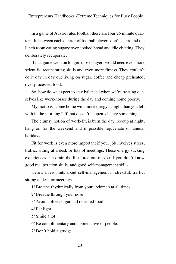In a game of Aussie rules football there are four 25 minute quarters. In between each quarter of football players don't sit around the lunch room eating sugary over cooked bread and idle chatting. They deliberately recuperate.

If that game went on longer, those players would need even more scientific recuperating skills and even more fitness. They couldn't do it day in day out living on sugar, coffee and cheap preheated, over processed food.

So, how do we expect to stay balanced when we're treating ourselves like work-horses during the day and coming home poorly.

My motto is "come home with more energy at night than you left with in the morning." If that doesn't happen, change something.

The clumsy notion of work-fit, is burn the day, recoup at night, hang on for the weekend and if possible rejuvenate on annual holidays.

Fit for work is even more important if your job involves stress, traffic, sitting at a desk or lots of meetings. These energy sucking experiences can drain the life-force out of you if you don't know good recuperation skills, and good self-management skills.

Here's a few hints about self-management in stressful, traffic, sitting at desk or meetings.

1/ Breathe rhythmically from your abdomen at all times.

2/ Breathe through your nose.

3/ Avoid coffee, sugar and reheated food.

4/ Eat light.

5/ Smile a lot.

6/ Be complimentary and appreciative of people.

7/ Don't hold a grudge

20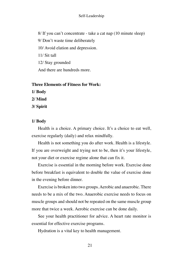8/ If you can't concentrate - take a cat nap (10 minute sleep) 9/ Don't waste time deliberately 10/ Avoid elation and depression. 11/ Sit tall 12/ Stay grounded And there are hundreds more.

# **Three Elements of Fitness for Work:**

**1/ Body**

**2/ Mind**

**3/ Spirit**

# **1/ Body**

Health is a choice. A primary choice. It's a choice to eat well, exercise regularly (daily) and relax mindfully.

Health is not something you do after work. Health is a lifestyle. If you are overweight and trying not to be, then it's your lifestyle, not your diet or exercise regime alone that can fix it.

Exercise is essential in the morning before work. Exercise done before breakfast is equivalent to double the value of exercise done in the evening before dinner.

Exercise is broken into two groups. Aerobic and anaerobic. There needs to be a mix of the two. Anaerobic exercise needs to focus on muscle groups and should not be repeated on the same muscle group more that twice a week. Aerobic exercise can be done daily.

See your health practitioner for advice. A heart rate monitor is essential for effective exercise programs.

Hydration is a vital key to health management.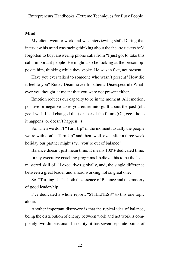## **Mind**

My client went to work and was interviewing staff. During that interview his mind was racing thinking about the theatre tickets he'd forgotten to buy, answering phone calls from "I just got to take this call" important people. He might also be looking at the person opposite him, thinking while they spoke. He was in fact, not present.

Have you ever talked to someone who wasn't present? How did it feel to you? Rude? Dismissive? Impatient? Disrespectful? Whatever you thought, it meant that you were not present either.

Emotion reduces our capacity to be in the moment. All emotion, positive or negative takes you either into guilt about the past (oh, gee I wish I had changed that) or fear of the future (Oh, gee I hope it happens, or doesn't happen...)

So, when we don't "Turn Up" in the moment, usually the people we're with don't "Turn Up" and then, well, even after a three week holiday our partner might say, "you're out of balance."

Balance doesn't just mean time. It means 100% dedicated time.

In my executive coaching programs I believe this to be the least mastered skill of all executives globally, and, the single difference between a great leader and a hard working not so great one.

So, "Turning Up" is both the essence of Balance and the mastery of good leadership.

I've dedicated a whole report, "STILLNESS" to this one topic alone.

Another important discovery is that the typical idea of balance, being the distribution of energy between work and not work is completely two dimensional. In reality, it has seven separate points of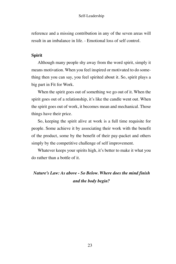reference and a missing contribution in any of the seven areas will result in an imbalance in life. - Emotional loss of self control.

## **Spirit**

Although many people shy away from the word spirit, simply it means motivation. When you feel inspired or motivated to do something then you can say, you feel spirited about it. So, spirit plays a big part in Fit for Work.

When the spirit goes out of something we go out of it. When the spirit goes out of a relationship, it's like the candle went out. When the spirit goes out of work, it becomes mean and mechanical. Those things have their price.

So, keeping the spirit alive at work is a full time requisite for people. Some achieve it by associating their work with the benefit of the product, some by the benefit of their pay-packet and others simply by the competitive challenge of self improvement.

Whatever keeps your spirits high, it's better to make it what you do rather than a bottle of it.

# *Nature's Law: As above - So Below. Where does the mind finish and the body begin?*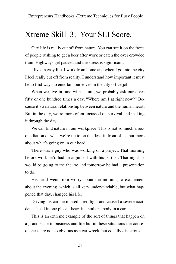# Xtreme Skill 3. Your SLI Score.

City life is really cut off from nature. You can see it on the faces of people rushing to get a beer after work or catch the over crowded train. Highways get packed and the stress is significant.

I live an easy life. I work from home and when I go into the city I feel really cut off from reality. I understand how important it must be to find ways to entertain ourselves in the city office job.

When we live in tune with nature, we probably ask ourselves fifty or one hundred times a day, "Where am I at right now?" Because it's a natural relationship between nature and the human heart. But in the city, we're more often focussed on survival and making it through the day.

We can find nature in our workplace. This is not so much a reconciliation of what we're up to on the desk in front of us, but more about what's going on in our head.

There was a guy who was working on a project. That morning before work he'd had an argument with his partner. That night he would be going to the theatre and tomorrow he had a presentation to do.

His head went from worry about the morning to excitement about the evening, which is all very understandable, but what happened that day, changed his life.

Driving his car, he missed a red light and caused a severe accident - head in one place - heart in another - body in a car.

This is an extreme example of the sort of things that happen on a grand scale in business and life but in these situations the consequences are not so obvious as a car wreck, but equally disastrous.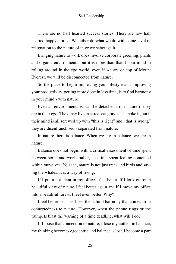There are no half hearted success stories. There are few half hearted happy stories. We either do what we do with some level of resignation to the nature of it, or we sabotage it.

Bringing nature to work does involve corporate greening, plants and organic environments, but it is more than that. If our mind in rolling around in the ego world, even if we are on top of Mount Everest, we will be disconnected from nature.

So the place to begin improving your lifestyle and improving your productivity, getting more done in less time, is to find harmony in your mind - with nature.

Even an environmentalist can be detached from nature if they are in their ego. They may live in a tree, eat grass and smoke it, but if their mind is all screwed up with "this is right" and "that is wrong" they are disenfranchised - separated from nature.

In nature there is balance. When we are in balance, we are in nature.

Balance does not begin with a critical assessment of time spent between home and work, rather, it is time spent feeling contented within ourselves. You see, nature is not just trees and birds and saving the whales. It is a way of living.

If I put a pot plant in my office I feel better. If I look out on a beautiful view of nature I feel better again and if I move my office into a beautiful forest, I feel even better. Why?

I feel better because I feel the natural harmony that comes from connectedness to nature. However, when the phone rings or the trumpets blast the warning of a time deadline, what will I do?

If I loose that connection to nature, I lose my authentic balance, my thinking becomes egocentric and balance is lost. I become a part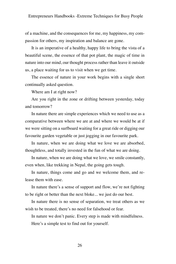of a machine, and the consequences for me, my happiness, my compassion for others, my inspiration and balance are gone.

It is an imperative of a healthy, happy life to bring the vista of a beautiful scene, the essence of that pot plant, the magic of time in nature into our mind, our thought process rather than leave it outside us, a place waiting for us to visit when we get time.

The essence of nature in your work begins with a single short continually asked question.

Where am I at right now?

Are you right in the zone or drifting between yesterday, today and tomorrow?

In nature there are simple experiences which we need to use as a comparative between where we are at and where we would be at if we were sitting on a surfboard waiting for a great ride or digging our favourite garden vegetable or just jogging in our favourite park.

In nature, when we are doing what we love we are absorbed, thoughtless, and totally invested in the fun of what we are doing.

In nature, when we are doing what we love, we smile constantly, even when, like trekking in Nepal, the going gets tough.

In nature, things come and go and we welcome them, and release them with ease.

In nature there's a sense of support and flow, we're not fighting to be right or better than the next bloke... we just do our best.

In nature there is no sense of separation, we treat others as we wish to be treated, there's no need for falsehood or fear.

In nature we don't panic. Every step is made with mindfulness. Here's a simple test to find out for yourself.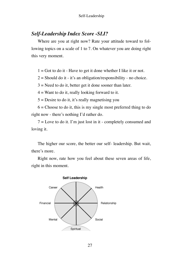# *Self-Leadership Index Score -SLI?*

Where are you at right now? Rate your attitude toward to following topics on a scale of 1 to 7. On whatever you are doing right this very moment.

 $1 =$  Got to do it - Have to get it done whether I like it or not.

 $2 =$  Should do it - it's an obligation/responsibility - no choice.

 $3$  = Need to do it, better get it done sooner than later.

 $4 =$  Want to do it, really looking forward to it.

 $5 =$  Desire to do it, it's really magnetising you

 $6 =$ Choose to do it, this is my single most preferred thing to do right now - there's nothing I'd rather do.

7 = Love to do it. I'm just lost in it - completely consumed and loving it.

The higher our score, the better our self- leadership. But wait, there's more.

Right now, rate how you feel about these seven areas of life, right in this moment.

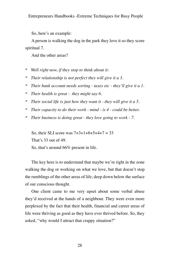So, here's an example:

A person is walking the dog in the park they love it so they score spiritual 7.

And the other areas?

- *\* Well right now, if they stop to think about it:*
- *\* Their relationship is not perfect they will give it a 3.*
- *\* Their bank account needs sorting taxes etc they'll give it a 1.*
- *\* Their health is great they might say 6.*
- *\* Their social life is just how they want it they will give it a 5.*
- *\* Their capacity to do their work mind is 4 could be better.*
- *\* Their business is doing great they love going to work 7.*

So, their SLI score was  $7+3+1+6+5+4+7 = 33$ That's 33 out of 49.

So, that's around 66% present in life.

The key here is to understand that maybe we're right in the zone walking the dog or working on what we love, but that doesn't stop the rumblings of the other areas of life, deep down below the surface of our conscious thought.

One client came to me very upset about some verbal abuse they'd received at the hands of a neighbour. They were even more perplexed by the fact that their health, financial and career areas of life were thriving as good as they have ever thrived before. So, they asked, "why would I attract that crappy situation?"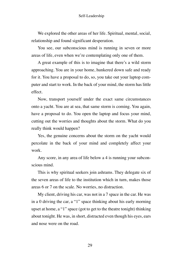We explored the other areas of her life. Spiritual, mental, social, relationship and found significant desperation.

You see, our subconscious mind is running in seven or more areas of life, even when we're contemplating only one of them.

A great example of this is to imagine that there's a wild storm approaching. You are in your home, hunkered down safe and ready for it. You have a proposal to do, so, you take out your laptop computer and start to work. In the back of your mind, the storm has little effect.

Now, transport yourself under the exact same circumstances onto a yacht. You are at sea, that same storm is coming. You again, have a proposal to do. You open the laptop and focus your mind, cutting out the worries and thoughts about the storm. What do you really think would happen?

Yes, the genuine concerns about the storm on the yacht would percolate in the back of your mind and completely affect your work.

Any score, in any area of life below a 4 is running your subconscious mind.

This is why spiritual seekers join ashrams. They delegate six of the seven areas of life to the institution which in turn, makes those areas 6 or 7 on the scale. No worries, no distraction.

My client, driving his car, was not in a 7 space in the car. He was in a 0 driving the car, a "1" space thinking about his early morning upset at home, a "1" space (got to get to the theatre tonight) thinking about tonight. He was, in short, distracted even though his eyes, ears and nose were on the road.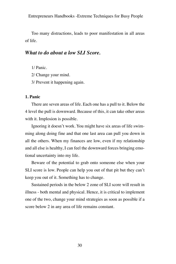Too many distractions, leads to poor manifestation in all areas of life.

# *What to do about a low SLI Score.*

- 1/ Panic.
- 2/ Change your mind.
- 3/ Prevent it happening again.

# **1. Panic**

There are seven areas of life. Each one has a pull to it. Below the 4 level the pull is downward. Because of this, it can take other areas with it. Implosion is possible.

Ignoring it doesn't work. You might have six areas of life swimming along doing fine and that one last area can pull you down in all the others. When my finances are low, even if my relationship and all else is healthy, I can feel the downward forces bringing emotional uncertainty into my life.

Beware of the potential to grab onto someone else when your SLI score is low. People can help you out of that pit but they can't keep you out of it. Something has to change.

Sustained periods in the below 2 zone of SLI score will result in illness - both mental and physical. Hence, it is critical to implement one of the two, change your mind strategies as soon as possible if a score below 2 in any area of life remains constant.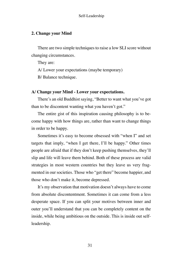# **2. Change your Mind**

There are two simple techniques to raise a low SLI score without changing circumstances.

They are:

A/ Lower your expectations (maybe temporary)

B/ Balance technique.

# **A/ Change your Mind - Lower your expectations.**

There's an old Buddhist saying, "Better to want what you've got than to be discontent wanting what you haven't got."

The entire gist of this inspiration causing philosophy is to become happy with how things are, rather than want to change things in order to be happy.

Sometimes it's easy to become obsessed with "when I" and set targets that imply, "when I get there, I'll be happy." Other times people are afraid that if they don't keep pushing themselves, they'll slip and life will leave them behind. Both of these process are valid strategies in most western countries but they leave us very fragmented in our societies. Those who "get there" become happier, and those who don't make it, become depressed.

It's my observation that motivation doesn't always have to come from absolute discontentment. Sometimes it can come from a less desperate space. If you can split your motives between inner and outer you'll understand that you can be completely content on the inside, while being ambitious on the outside. This is inside out selfleadership.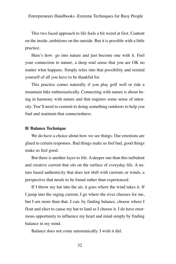This two faced approach to life feels a bit weird at first. Content on the inside, ambitious on the outside. But it is possible with a little practice.

Here's how: go into nature and just become one with it. Feel your connection to nature, a deep soul sense that you are OK no matter what happens. Simply relax into that possibility and remind yourself of all you have to be thankful for.

This practice comes naturally if you play golf well or ride a mountain bike enthusiastically. Connecting with nature is about being in harmony with nature and that requires some sense of intensity. You'll need to commit to doing something outdoors to help you find and maintain that connectedness.

## **B/ Balance Technique**

We do have a choice about how we see things. Our emotions are glued to certain responses. Bad things make us feel bad, good things make us feel good.

But there is another layer to life. A deeper one than this turbulent and creative current that sits on the surface of everyday life. A nature based authenticity that does not shift with currents or winds, a perspective that needs to be found rather than experienced.

If I throw my hat into the air, it goes where the wind takes it. If I jump into the raging current, I go where the river chooses for me, but I am more than that. I can, by finding balance, choose where I float and elect to cause my hat to land as I choose it. I do have enormous opportunity to influence my heart and mind simply by finding balance in my mind.

Balance does not come automatically. I wish it did.

32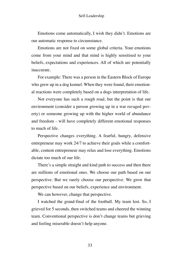Emotions come automatically, I wish they didn't. Emotions are our automatic response to circumstance.

Emotions are not fixed on some global criteria. Your emotions come from your mind and that mind is highly sensitised to your beliefs, expectations and experiences. All of which are potentially inaccurate.

For example: There was a person in the Eastern Block of Europe who grew up in a dog kennel. When they were found, their emotional reactions were completely based on a dogs interpretation of life.

Not everyone has such a rough road, but the point is that our environment (consider a person growing up in a war ravaged poverty) or someone growing up with the higher world of abundance and freedom - will have completely different emotional responses to much of life.

Perspective changes everything. A fearful, hungry, defensive entrepreneur may work 24/7 to achieve their goals while a comfortable, content entrepreneur may relax and lose everything. Emotions dictate too much of our life.

There's a simple straight and kind path to success and then there are millions of emotional ones. We choose our path based on our perspective. But we rarely choose our perspective. We grow that perspective based on our beliefs, experience and environment.

We can however, change that perspective.

I watched the grand-final of the football. My team lost. So, I grieved for 5 seconds, then switched teams and cheered the winning team. Conventional perspective is don't change teams but grieving and feeling miserable doesn't help anyone.

33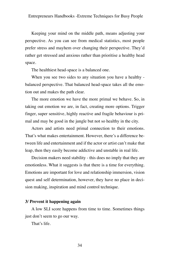Keeping your mind on the middle path, means adjusting your perspective. As you can see from medical statistics, most people prefer stress and mayhem over changing their perspective. They'd rather get stressed and anxious rather than prioritise a healthy head space.

The healthiest head-space is a balanced one.

When you see two sides to any situation you have a healthy balanced perspective. That balanced head-space takes all the emotion out and makes the path clear.

The more emotion we have the more primal we behave. So, in taking out emotion we are, in fact, creating more options. Trigger finger, super sensitive, highly reactive and fragile behaviour is primal and may be good in the jungle but not so healthy in the city.

Actors and artists need primal connection to their emotions. That's what makes entertainment. However, there's a difference between life and entertainment and if the actor or artist can't make that leap, then they easily become addictive and unstable in real life.

Decision makers need stability - this does no imply that they are emotionless. What it suggests is that there is a time for everything. Emotions are important for love and relationship immersion, vision quest and self determination, however, they have no place in decision making, inspiration and mind control technique.

## **3/ Prevent it happening again**

A low SLI score happens from time to time. Sometimes things just don't seem to go our way.

That's life.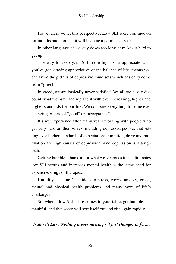However, if we let this perspective, Low SLI score continue on for months and months, it will become a permanent scar.

In other language, if we stay down too long, it makes it hard to get up.

The way to keep your SLI score high is to appreciate what you've got. Staying appreciative of the balance of life, means you can avoid the pitfalls of depressive mind sets which basically come from "greed."

In greed, we are basically never satisfied. We all too easily discount what we have and replace it with ever increasing, higher and higher standards for our life. We compare everything to some ever changing criteria of "good" or "acceptable."

It's my experience after many years working with people who get very hard on themselves, including depressed people, that setting ever higher standards of expectations, ambition, drive and motivation are high causes of depression. And depression is a tough path.

Getting humble - thankful for what we've got as it is - eliminates low SLI scores and increases mental health without the need for expensive drugs or therapies.

Humility is nature's antidote to stress, worry, anxiety, greed, mental and physical health problems and many more of life's challenges.

So, when a low SLI score comes to your table, get humble, get thankful, and that score will sort itself out and rise again rapidly.

# *Nature's Law: Nothing is ever missing - it just changes in form.*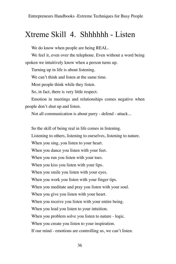## Xtreme Skill 4. Shhhhhh - Listen

We do know when people are being REAL.

We feel it, even over the telephone. Even without a word being spoken we intuitively know when a person turns up.

Turning up in life is about listening.

We can't think and listen at the same time.

Most people think while they listen.

So, in fact, there is very little respect.

Emotion in meetings and relationships comes negative when people don't shut up and listen.

Not all communication is about parry - defend - attack...

So the skill of being real in life comes in listening.

Listening to others, listening to ourselves, listening to nature.

When you sing, you listen to your heart.

When you dance you listen with your feet.

When you run you listen with your toes.

When you kiss you listen with your lips.

When you smile you listen with your eyes.

When you work you listen with your finger tips.

When you meditate and pray you listen with your soul.

When you give you listen with your heart.

When you receive you listen with your entire being.

When you lead you listen to your intuition.

When you problem solve you listen to nature - logic.

When you create you listen to your inspiration.

If our mind - emotions are controlling us, we can't listen.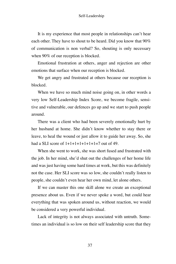It is my experience that most people in relationships can't hear each other. They have to shout to be heard. Did you know that 90% of communication is non verbal? So, shouting is only necessary when 90% of our reception is blocked.

Emotional frustration at others, anger and rejection are other emotions that surface when our reception is blocked.

We get angry and frustrated at others because our reception is blocked.

When we have so much mind noise going on, in other words a very low Self-Leadership Index Score, we become fragile, sensitive and vulnerable, our defences go up and we start to push people around.

There was a client who had been severely emotionally hurt by her husband at home. She didn't know whether to stay there or leave, to heal the wound or just allow it to guide her away. So, she had a SLI score of  $1+1+1+1+1+1=7$  out of 49.

When she went to work, she was short fused and frustrated with the job. In her mind, she'd shut out the challenges of her home life and was just having some hard times at work, but this was definitely not the case. Her SLI score was so low, she couldn't really listen to people, she couldn't even hear her own mind, let alone others.

If we can master this one skill alone we create an exceptional presence about us. Even if we never spoke a word, but could hear everything that was spoken around us, without reaction, we would be considered a very powerful individual.

Lack of integrity is not always associated with untruth. Sometimes an individual is so low on their self leadership score that they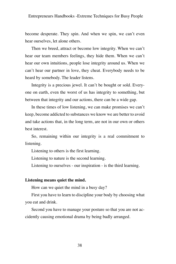become desperate. They spin. And when we spin, we can't even hear ourselves, let alone others.

Then we breed, attract or become low integrity. When we can't hear our team members feelings, they hide them. When we can't hear our own intuitions, people lose integrity around us. When we can't hear our partner in love, they cheat. Everybody needs to be heard by somebody. The leader listens.

Integrity is a precious jewel. It can't be bought or sold. Everyone on earth, even the worst of us has integrity to something, but between that integrity and our actions, there can be a wide gap.

In these times of low listening, we can make promises we can't keep, become addicted to substances we know we are better to avoid and take actions that, in the long term, are not in our own or others best interest.

So, remaining within our integrity is a real commitment to listening.

Listening to others is the first learning.

Listening to nature is the second learning.

Listening to ourselves - our inspiration - is the third learning.

#### **Listening means quiet the mind.**

How can we quiet the mind in a busy day?

First you have to learn to discipline your body by choosing what you eat and drink.

Second you have to manage your posture so that you are not accidently causing emotional drama by being badly arranged.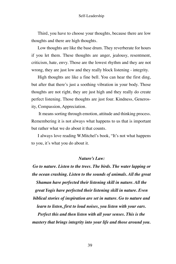Third, you have to choose your thoughts, because there are low thoughts and there are high thoughts.

Low thoughts are like the base drum. They reverberate for hours if you let them. These thoughts are anger, jealousy, resentment, criticism, hate, envy. Those are the lowest rhythm and they are not wrong, they are just low and they really block listening - integrity.

High thoughts are like a fine bell. You can hear the first ding, but after that there's just a soothing vibration in your body. Those thoughts are not right, they are just high and they really do create perfect listening. Those thoughts are just four. Kindness, Generosity, Compassion, Appreciation.

It means sorting through emotion, attitude and thinking process. Remembering it is not always what happens to us that is important but rather what we do about it that counts.

I always love reading W.Mitchel's book, "It's not what happens to you, it's what you do about it.

#### *Nature's Law:*

*Go to nature. Listen to the trees. The birds. The water lapping or the ocean crashing. Listen to the sounds of animals. All the great Shaman have perfected their listening skill in nature. All the great Yogis have perfected their listening skill in nature. Even biblical stories of inspiration are set in nature. Go to nature and learn to listen, first to loud noises, you listen with your ears.* 

*Perfect this and then listen with all your senses. This is the mastery that brings integrity into your life and those around you.*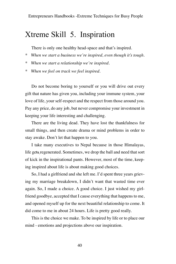## Xtreme Skill 5. Inspiration

There is only one healthy head-space and that's inspired.

- *\* When we start a business we're inspired, even though it's tough.*
- *\* When we start a relationship we're inspired.*
- *\* When we feel on track we feel inspired.*

Do not become boring to yourself or you will drive out every gift that nature has given you, including your immune system, your love of life, your self-respect and the respect from those around you. Pay any price, do any job, but never compromise your investment in keeping your life interesting and challenging.

There are the living dead. They have lost the thankfulness for small things, and then create drama or mind problems in order to stay awake. Don't let that happen to you.

I take many executives to Nepal because in those Himalayas, life gets regenerated. Sometimes, we drop the ball and need that sort of kick in the inspirational pants. However, most of the time, keeping inspired about life is about making good choices.

So, I had a girlfriend and she left me. I'd spent three years grieving my marriage breakdown, I didn't want that wasted time ever again. So, I made a choice. A good choice. I just wished my girlfriend goodbye, accepted that I cause everything that happens to me, and opened myself up for the next beautiful relationship to come. It did come to me in about 24 hours. Life is pretty good really.

This is the choice we make. To be inspired by life or to place our mind - emotions and projections above our inspiration.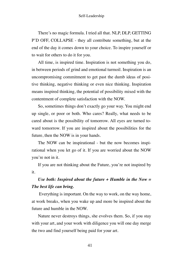There's no magic formula. I tried all that. NLP, DLP, GETTING P'D OFF, COLLAPSE - they all contribute something, but at the end of the day it comes down to your choice. To inspire yourself or to wait for others to do it for you.

All time, is inspired time. Inspiration is not something you do, in between periods of grind and emotional turmoil. Inspiration is an uncompromising commitment to get past the dumb ideas of positive thinking, negative thinking or even nice thinking. Inspiration means inspired thinking, the potential of possibility mixed with the contentment of complete satisfaction with the NOW.

So, sometimes things don't exactly go your way. You might end up single, or poor or both. Who cares? Really, what needs to be cared about is the possibility of tomorrow. All eyes are turned toward tomorrow. If you are inspired about the possibilities for the future, then the NOW is in your hands.

The NOW can be inspirational - but the now becomes inspirational when you let go of it. If you are worried about the NOW you're not in it.

If you are not thinking about the Future, you're not inspired by it.

### *Use both: Inspired about the future + Humble in the Now = The best life can bring.*

 Everything is important. On the way to work, on the way home, at work breaks, when you wake up and more be inspired about the future and humble in the NOW.

Nature never destroys things, she evolves them. So, if you stay with your art, and your work with diligence you will one day merge the two and find yourself being paid for your art.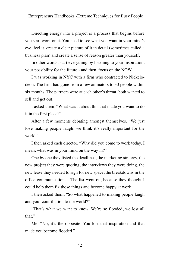Directing energy into a project is a process that begins before you start work on it. You need to see what you want in your mind's eye, feel it, create a clear picture of it in detail (sometimes called a business plan) and create a sense of reason greater than yourself.

In other words, start everything by listening to your inspiration, your possibility for the future - and then, focus on the NOW.

I was working in NYC with a firm who contracted to Nickelodeon. The firm had gone from a few animators to 30 people within six months. The partners were at each other's throat, both wanted to sell and get out.

I asked them, "What was it about this that made you want to do it in the first place?"

After a few moments debating amongst themselves, "We just love making people laugh, we think it's really important for the world."

I then asked each director, "Why did you come to work today, I mean, what was in your mind on the way in?"

One by one they listed the deadlines, the marketing strategy, the new project they were quoting, the interviews they were doing, the new lease they needed to sign for new space, the breakdowns in the office communication… The list went on, because they thought I could help them fix those things and become happy at work.

I then asked them, "So what happened to making people laugh and your contribution to the world?"

"That's what we want to know. We're so flooded, we lost all that."

Me, "No, it's the opposite. You lost that inspiration and that made you become flooded."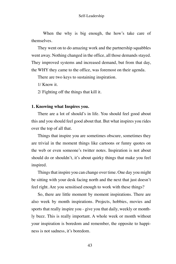When the why is big enough, the how's take care of themselves.

They went on to do amazing work and the partnership squabbles went away. Nothing changed in the office, all those demands stayed. They improved systems and increased demand, but from that day, the WHY they came to the office, was foremost on their agenda.

There are two keys to sustaining inspiration.

1/ Know it.

2/ Fighting off the things that kill it.

#### **1. Knowing what Inspires you.**

There are a lot of should's in life. You should feel good about this and you should feel good about that. But what inspires you rides over the top of all that.

Things that inspire you are sometimes obscure, sometimes they are trivial in the moment things like cartoons or funny quotes on the web or even someone's twitter notes. Inspiration is not about should do or shouldn't, it's about quirky things that make you feel inspired.

Things that inspire you can change over time. One day you might be sitting with your desk facing north and the next that just doesn't feel right. Are you sensitised enough to work with these things?

So, there are little moment by moment inspirations. There are also week by month inspirations. Projects, hobbies, movies and sports that really inspire you - give you that daily, weekly or monthly buzz. This is really important. A whole week or month without your inspiration is boredom and remember, the opposite to happiness is not sadness, it's boredom.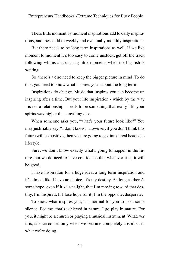These little moment by moment inspirations add to daily inspirations, and these add to weekly and eventually monthly inspirations.

But there needs to be long term inspirations as well. If we live moment to moment it's too easy to come unstuck, get off the track following whims and chasing little moments when the big fish is waiting.

So, there's a dire need to keep the bigger picture in mind. To do this, you need to know what inspires you - about the long term.

Inspirations do change. Music that inspires you can become un inspiring after a time. But your life inspiration - which by the way - is not a relationship - needs to be something that really lifts your spirits way higher than anything else.

When someone asks you, "what's your future look like?" You may justifiably say, "I don't know." However, if you don't think this future will be positive, then you are going to get into a real headache lifestyle.

Sure, we don't know exactly what's going to happen in the future, but we do need to have confidence that whatever it is, it will be good.

I have inspiration for a huge idea, a long term inspiration and it's almost like I have no choice. It's my destiny. As long as there's some hope, even if it's just slight, that I'm moving toward that destiny, I'm inspired. If I lose hope for it, I'm the opposite, desperate.

To know what inspires you, it is normal for you to need some silence. For me, that's achieved in nature. I go play in nature. For you, it might be a church or playing a musical instrument. Whatever it is, silence comes only when we become completely absorbed in what we're doing.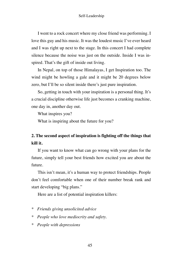I went to a rock concert where my close friend was performing. I love this guy and his music. It was the loudest music I've ever heard and I was right up next to the stage. In this concert I had complete silence because the noise was just on the outside. Inside I was inspired. That's the gift of inside out living.

In Nepal, on top of those Himalayas, I get Inspiration too. The wind might be howling a gale and it might be 20 degrees below zero, but I'll be so silent inside there's just pure inspiration.

So, getting in touch with your inspiration is a personal thing. It's a crucial discipline otherwise life just becomes a cranking machine, one day in, another day out.

What inspires you?

What is inspiring about the future for you?

### **2. The second aspect of inspiration is fighting off the things that kill it.**

If you want to know what can go wrong with your plans for the future, simply tell your best friends how excited you are about the future.

This isn't mean, it's a human way to protect friendships. People don't feel comfortable when one of their number break rank and start developing "big plans."

Here are a list of potential inspiration killers:

- *\* Friends giving unsolicited advice*
- *\* People who love mediocrity and safety.*
- *\* People with depressions*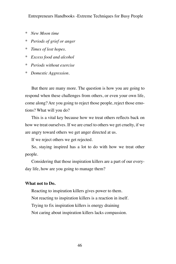- *\* New Moon time*
- *\* Periods of grief or anger*
- *\* Times of lost hopes.*
- *\* Excess food and alcohol*
- *\* Periods without exercise*
- *\* Domestic Aggression.*

But there are many more. The question is how you are going to respond when these challenges from others, or even your own life, come along? Are you going to reject those people, reject those emotions? What will you do?

This is a vital key because how we treat others reflects back on how we treat ourselves. If we are cruel to others we get cruelty, if we are angry toward others we get anger directed at us.

If we reject others we get rejected.

So, staying inspired has a lot to do with how we treat other people.

Considering that those inspiration killers are a part of our everyday life, how are you going to manage them?

#### **What not to Do.**

Reacting to inspiration killers gives power to them. Not reacting to inspiration killers is a reaction in itself. Trying to fix inspiration killers is energy draining Not caring about inspiration killers lacks compassion.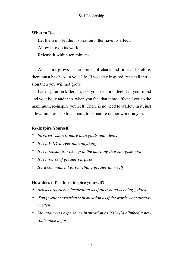#### **What to Do.**

Let them in - let the inspiration killer have its affect.

Allow it to do its work.

Release it within ten minutes.

All nature grows at the border of chaos and order. Therefore, there must be chaos in your life. If you stay inspired, resist all intrusion then you will not grow.

Let inspiration killers in, feel your reaction, feel it in your mind and your body and then, when you feel that it has affected you to the maximum, re-inspire yourself. There is no need to wallow in it, just a few minutes - up to an hour, to let nature do her work on you.

#### **Re-Inspire Yourself**

- *\* Inspired vision is more than goals and ideas.*
- *\* It is a WHY bigger than anything.*
- *\* It is a reason to wake up in the morning that energises you.*
- *\* It is a sense of greater purpose.*
- *\* It's a commitment to something greater than self.*

#### **How does it feel to re-inspire yourself?**

- *\* Artists experience inspiration as if their hand is being guided.*
- *\* Song writers experience inspiration as if the words were already written.*
- *\* Mountaineers experience inspiration as if they'd climbed a new route once before.*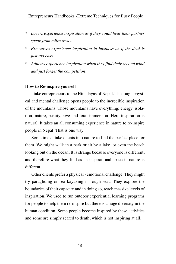- *\* Lovers experience inspiration as if they could hear their partner speak from miles away.*
- *\* Executives experience inspiration in business as if the deal is just too easy.*
- *\* Athletes experience inspiration when they find their second wind and just forget the competition.*

#### **How to Re-inspire yourself**

I take entrepreneurs to the Himalayas of Nepal. The tough physical and mental challenge opens people to the incredible inspiration of the mountains. Those mountains have everything: energy, isolation, nature, beauty, awe and total immersion. Here inspiration is natural. It takes an all consuming experience in nature to re-inspire people in Nepal. That is one way.

Sometimes I take clients into nature to find the perfect place for them. We might walk in a park or sit by a lake, or even the beach looking out on the ocean. It is strange because everyone is different, and therefore what they find as an inspirational space in nature is different.

Other clients prefer a physical - emotional challenge. They might try paragliding or sea kayaking in rough seas. They explore the boundaries of their capacity and in doing so, reach massive levels of inspiration. We used to run outdoor experiential learning programs for people to help them re-inspire but there is a huge diversity in the human condition. Some people become inspired by these activities and some are simply scared to death, which is not inspiring at all.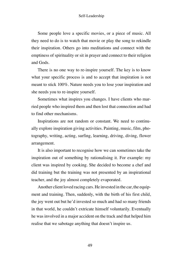Some people love a specific movies, or a piece of music. All they need to do is to watch that movie or play the song to rekindle their inspiration. Others go into meditations and connect with the emptiness of spirituality or sit in prayer and connect to their religion and Gods.

There is no one way to re-inspire yourself. The key is to know what your specific process is and to accept that inspiration is not meant to stick 100%. Nature needs you to lose your inspiration and she needs you to re-inspire yourself.

Sometimes what inspires you changes. I have clients who married people who inspired them and then lost that connection and had to find other mechanisms.

Inspirations are not random or constant. We need to continually explore inspiration giving activities. Painting, music, film, photography, writing, acting, surfing, learning, driving, diving, flower arrangement.

It is also important to recognise how we can sometimes take the inspiration out of something by rationalising it. For example: my client was inspired by cooking. She decided to become a chef and did training but the training was not presented by an inspirational teacher, and the joy almost completely evaporated.

Another client loved racing cars. He invested in the car, the equipment and training. Then, suddenly, with the birth of his first child, the joy went out but he'd invested so much and had so many friends in that world, he couldn't extricate himself voluntarily. Eventually he was involved in a major accident on the track and that helped him realise that we sabotage anything that doesn't inspire us.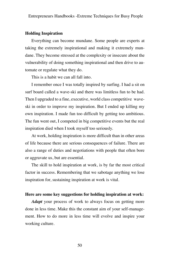#### **Holding Inspiration**

Everything can become mundane. Some people are experts at taking the extremely inspirational and making it extremely mundane. They become stressed at the complexity or insecure about the vulnerability of doing something inspirational and then drive to automate or regulate what they do.

This is a habit we can all fall into.

I remember once I was totally inspired by surfing. I had a sit on surf board called a wave-ski and there was limitless fun to be had. Then I upgraded to a fine, executive, world class competitive waveski in order to improve my inspiration. But I ended up killing my own inspiration. I made fun too difficult by getting too ambitious. The fun went out, I competed in big competitive events but the real inspiration died when I took myself too seriously.

At work, holding inspiration is more difficult than in other areas of life because there are serious consequences of failure. There are also a range of duties and negotiations with people that often bore or aggravate us, but are essential.

The skill to hold inspiration at work, is by far the most critical factor in success. Remembering that we sabotage anything we lose inspiration for, sustaining inspiration at work is vital.

#### **Here are some key suggestions for holding inspiration at work:**

*Adapt* your process of work to always focus on getting more done in less time. Make this the constant aim of your self-management. How to do more in less time will evolve and inspire your working culture.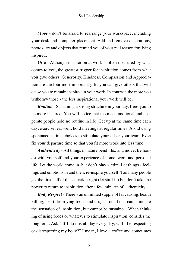*Move* - don't be afraid to rearrange your workspace, including your desk and computer placement. Add and remove decorations, photos, art and objects that remind you of your real reason for living inspired.

*Give* - Although inspiration at work is often measured by what comes to you, the greatest trigger for inspiration comes from what you give others. Generosity, Kindness, Compassion and Appreciation are the four most important gifts you can give others that will cause you to remain inspired in your work. In contrast, the more you withdraw those - the less inspirational your work will be.

*Routine* - Sustaining a strong structure in your day, frees you to be more inspired. You will notice that the most emotional and desperate people hold no routine in life. Get up at the same time each day, exercise, eat well, hold meetings at regular times. Avoid using spontaneous time choices to stimulate yourself or your team. Even fix your departure time so that you fit more work into less time.

*Authenticity* - All things in nature bend, flex and move. Be honest with yourself and your experience of home, work and personal life. Let the world come in, but don't play victim. Let things - feelings and emotions in and then, re-inspire yourself. Too many people get the first half of this equation right (let stuff in) but don't take the power to return to inspiration after a few minutes of authenticity.

*Body Respect* - There's an unlimited supply of fat causing, health killing, heart destroying foods and drugs around that can stimulate the sensation of inspiration, but cannot be sustained. When thinking of using foods or whatever to stimulate inspiration, consider the long term. Ask, "If I do this all day every day, will I be respecting or disrespecting my body?" I mean, I love a coffee and sometimes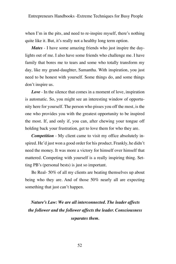when I'm in the pits, and need to re-inspire myself, there's nothing quite like it. But, it's really not a healthy long term option.

*Mates* - I have some amazing friends who just inspire the daylights out of me. I also have some friends who challenge me. I have family that bores me to tears and some who totally transform my day, like my grand-daughter, Samantha. With inspiration, you just need to be honest with yourself. Some things do, and some things don't inspire us.

*Love* - In the silence that comes in a moment of love, inspiration is automatic. So, you might see an interesting window of opportunity here for yourself. The person who pisses you off the most, is the one who provides you with the greatest opportunity to be inspired the most. If, and only if, you can, after chewing your tongue off holding back your frustration, get to love them for who they are.

*Competition* - My client came to visit my office absolutely inspired. He'd just won a good order for his product. Frankly, he didn't need the money. It was more a victory for himself over himself that mattered. Competing with yourself is a really inspiring thing. Setting PB's (personal bests) is just so important.

Be Real- 50% of all my clients are beating themselves up about being who they are. And of those 50% nearly all are expecting something that just can't happen.

*Nature's Law: We are all interconnected. The leader affects the follower and the follower affects the leader. Consciousness separates them.*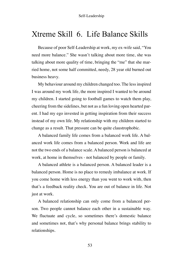## Xtreme Skill 6. Life Balance Skills

Because of poor Self-Leadership at work, my ex-wife said, "You need more balance." She wasn't talking about more time, she was talking about more quality of time, bringing the "me" that she married home, not some half committed, needy, 28 year old burned out business heavy.

My behaviour around my children changed too. The less inspired I was around my work life, the more inspired I wanted to be around my children. I started going to football games to watch them play, cheering from the sidelines, but not as a fun loving open hearted parent. I had my ego invested in getting inspiration from their success instead of my own life. My relationship with my children started to change as a result. That pressure can be quite claustrophobic.

A balanced family life comes from a balanced work life. A balanced work life comes from a balanced person. Work and life are not the two ends of a balance scale. A balanced person is balanced at work, at home in themselves - not balanced by people or family.

A balanced athlete is a balanced person. A balanced leader is a balanced person. Home is no place to remedy imbalance at work. If you come home with less energy than you went to work with, then that's a feedback reality check. You are out of balance in life. Not just at work.

A balanced relationship can only come from a balanced person. Two people cannot balance each other in a sustainable way. We fluctuate and cycle, so sometimes there's domestic balance and sometimes not, that's why personal balance brings stability to relationships.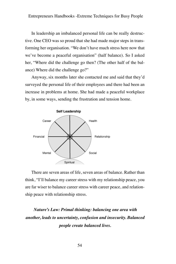In leadership an imbalanced personal life can be really destructive. One CEO was so proud that she had made major steps in transforming her organisation. "We don't have much stress here now that we've become a peaceful organisation" (half balance). So I asked her, "Where did the challenge go then? (The other half of the balance) Where did the challenge go?"

Anyway, six months later she contacted me and said that they'd surveyed the personal life of their employees and there had been an increase in problems at home. She had made a peaceful workplace by, in some ways, sending the frustration and tension home.



There are seven areas of life, seven areas of balance. Rather than think, "I'll balance my career stress with my relationship peace, you are far wiser to balance career stress with career peace, and relationship peace with relationship stress.

### *Nature's Law: Primal thinking: balancing one area with another, leads to uncertainty, confusion and insecurity. Balanced people create balanced lives.*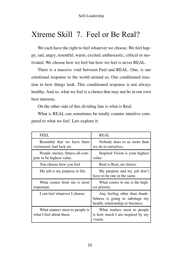## Xtreme Skill 7. Feel or Be Real?

We each have the right to feel whatever we choose. We feel happy, sad, angry, resentful, warm, excited, enthusiastic, critical or motivated. We choose how we feel but how we feel is never REAL.

There is a massive void between Feel and REAL. One, is our emotional response to the world around us. Our conditioned reaction to how things look. This conditioned response is not always healthy. And so, what we feel is a choice that may not be in our own best interests.

On the other side of this dividing line is what is Real.

What is REAL can sometimes be totally counter intuitive compared to what we feel. Lets explore it:

| FEEL.                                                        | REAL                                                                                                  |
|--------------------------------------------------------------|-------------------------------------------------------------------------------------------------------|
| Resentful that we have been<br>victimised, bad luck etc.     | Nobody does to us more than<br>we do to ourselves.                                                    |
| People, money, fitness all com-<br>pete to be highest value. | Inspired Vision is your highest<br>value.                                                             |
| You choose how you feel                                      | Real is Real, no choice.                                                                              |
| My job is my purpose in life.                                | My purpose and my job don't<br>have to be one in the same.                                            |
| What comes from me is most<br>important.                     | What comes to me is the high-<br>est priority.                                                        |
| I can feel whatever I choose                                 | Any feeling other than thank-<br>fulness is going to sabotage my<br>health, relationship or business. |
| What matters most to people is<br>what I feel about them.    | What matters most to people<br>is how much I am inspired by my<br>vision.                             |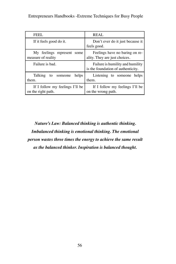| FEEL.                                                 | <b>REAL</b>                                                            |
|-------------------------------------------------------|------------------------------------------------------------------------|
| If it feels good do it.                               | Don't ever do it just because it<br>feels good.                        |
| My feelings represent some<br>measure of reality      | Feelings have no baring on re-<br>ality. They are just choices.        |
| Failure is bad.                                       | Failure is humility and humility<br>is the foundation of authenticity. |
| Talking<br>helps<br>to someone<br>them.               | Listening to someone<br>helps<br>them.                                 |
| If I follow my feelings I'll be<br>on the right path. | If I follow my feelings I'll be<br>on the wrong path.                  |

*Nature's Law: Balanced thinking is authentic thinking. Imbalanced thinking is emotional thinking. The emotional person wastes three times the energy to achieve the same result as the balanced thinker. Inspiration is balanced thought.*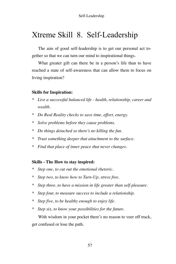## Xtreme Skill 8. Self-Leadership

The aim of good self-leadership is to get our personal act together so that we can turn our mind to inspirational things.

What greater gift can there be in a person's life than to have reached a state of self-awareness that can allow them to focus on living inspiration?

#### **Skills for Inspiration:**

- *\* Live a successful balanced life health, relationship, career and wealth.*
- *\* Do Real Reality checks to save time, effort, energy.*
- *\* Solve problems before they cause problems.*
- *\* Do things detached so there's no killing the fun.*
- *\* Trust something deeper that attachment to the surface.*
- *\* Find that place of inner peace that never changes.*

#### **Skills - The How to stay inspired:**

- *\* Step one, to cut out the emotional rhetoric.*
- *\* Step two, to know how to Turn-Up, stress free.*
- *\* Step three, to have a mission in life greater than self-pleasure.*
- *\* Step four, to measure success to include a relationship.*
- *\* Step five, to be healthy enough to enjoy life.*
- *\* Step six, to know your possibilities for the future.*

With wisdom in your pocket there's no reason to veer off track, get confused or lose the path.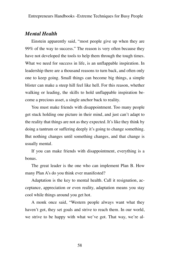### *Mental Health*

Einstein apparently said, "most people give up when they are 99% of the way to success." The reason is very often because they have not developed the tools to help them through the tough times. What we need for success in life, is an unflappable inspiration. In leadership there are a thousand reasons to turn back, and often only one to keep going. Small things can become big things, a simple blister can make a steep hill feel like hell. For this reason, whether walking or leading, the skills to hold unflappable inspiration become a precious asset, a single anchor back to reality.

You must make friends with disappointment. Too many people get stuck holding one picture in their mind, and just can't adapt to the reality that things are not as they expected. It's like they think by doing a tantrum or suffering deeply it's going to change something. But nothing changes until something changes, and that change is usually mental.

If you can make friends with disappointment, everything is a bonus.

The great leader is the one who can implement Plan B. How many Plan A's do you think ever manifested?

Adaptation is the key to mental health. Call it resignation, acceptance, appreciation or even reality, adaptation means you stay cool while things around you get hot.

A monk once said, "Western people always want what they haven't got, they set goals and strive to reach them. In our world, we strive to be happy with what we've got. That way, we're al-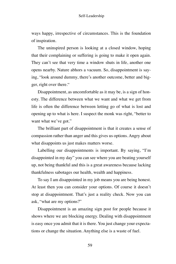ways happy, irrespective of circumstances. This is the foundation of inspiration.

The uninspired person is looking at a closed window, hoping that their complaining or suffering is going to make it open again. They can't see that very time a window shuts in life, another one opens nearby. Nature abhors a vacuum. So, disappointment is saying, "look around dummy, there's another outcome, better and bigger, right over there."

Disappointment, as uncomfortable as it may be, is a sign of honesty. The difference between what we want and what we get from life is often the difference between letting go of what is lost and opening up to what is here. I suspect the monk was right, "better to want what we've got."

The brilliant part of disappointment is that it creates a sense of compassion rather than anger and this gives us options. Angry about what disappoints us just makes matters worse.

Labelling our disappointments is important. By saying, "I'm disappointed in my day" you can see where you are beating yourself up, not being thankful and this is a great awareness because lacking thankfulness sabotages our health, wealth and happiness.

To say I am disappointed in my job means you are being honest. At least then you can consider your options. Of course it doesn't stop at disappointment. That's just a reality check. Now you can ask, "what are my options?"

Disappointment is an amazing sign post for people because it shows where we are blocking energy. Dealing with disappointment is easy once you admit that it is there. You just change your expectations or change the situation. Anything else is a waste of fuel.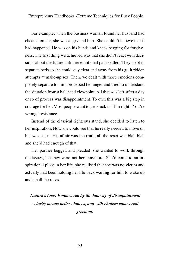For example: when the business woman found her husband had cheated on her, she was angry and hurt. She couldn't believe that it had happened. He was on his hands and knees begging for forgiveness. The first thing we achieved was that she didn't react with decisions about the future until her emotional pain settled. They slept in separate beds so she could stay clear and away from his guilt ridden attempts at make-up sex. Then, we dealt with those emotions completely separate to him, processed her anger and tried to understand the situation from a balanced viewpoint. All that was left, after a day or so of process was disappointment. To own this was a big step in courage for her. Most people want to get stuck in "I'm right - You're wrong" resistance.

Instead of the classical righteous stand, she decided to listen to her inspiration. Now she could see that he really needed to move on but was stuck. His affair was the truth, all the reset was blab blab and she'd had enough of that.

Her partner begged and pleaded, she wanted to work through the issues, but they were not hers anymore. She'd come to an inspirational place in her life, she realised that she was no victim and actually had been holding her life back waiting for him to wake up and smell the roses.

*Nature's Law: Empowered by the honesty of disappointment - clarity means better choices, and with choices comes real freedom.*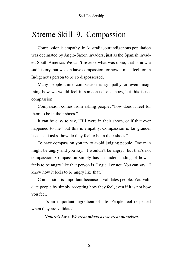## Xtreme Skill 9. Compassion

Compassion is empathy. In Australia, our indigenous population was decimated by Anglo-Saxon invaders, just as the Spanish invaded South America. We can't reverse what was done, that is now a sad history, but we can have compassion for how it must feel for an Indigenous person to be so dispossessed.

Many people think compassion is sympathy or even imagining how we would feel in someone else's shoes, but this is not compassion.

Compassion comes from asking people, "how does it feel for them to be in their shoes."

It can be easy to say, "If I were in their shoes, or if that ever happened to me" but this is empathy. Compassion is far grander because it asks "how do they feel to be in their shoes."

To have compassion you try to avoid judging people. One man might be angry and you say, "I wouldn't be angry," but that's not compassion. Compassion simply has an understanding of how it feels to be angry like that person is. Logical or not. You can say, "I know how it feels to be angry like that."

Compassion is important because it validates people. You validate people by simply accepting how they feel, even if it is not how you feel.

That's an important ingredient of life. People feel respected when they are validated.

*Nature's Law: We treat others as we treat ourselves.*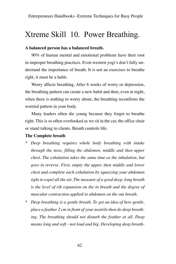## Xtreme Skill 10. Power Breathing.

#### **A balanced person has a balanced breath.**

90% of human mental and emotional problems have their root in improper breathing practices. Even western yogi's don't fully understand the importance of breath. It is not an exercises to breathe right, it must be a habit.

Worry affects breathing. After 6 weeks of worry or depression, the breathing pattern can create a new habit and then, even at night, when there is nothing to worry about, the breathing reconfirms the worried pattern in your body.

Many leaders often die young because they forget to breathe right. This is so often overlooked as we sit in the car, the office chair or stand talking to clients. Breath controls life.

#### **The Complete breath**

- *\* Deep breathing requires whole body breathing with intake through the nose, filling the abdomen, middle and then upper chest. The exhalation takes the same time as the inhalation, but goes in reverse. First, empty the upper, then middle and lower chest and complete each exhalation by squeezing your abdomen tight to expel all the air. The measure of a good deep, long breath is the level of rib expansion on the in breath and the degree of muscular contraction applied to abdomen on the out breath.*
- *\* Deep breathing is a gentle breath. To get an idea of how gentle, place a feather 2 cm in front of your nostrils then do deep breathing. The breathing should not disturb the feather at all. Deep means long and soft - not loud and big. Developing deep breath-*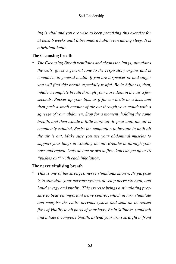*ing is vital and you are wise to keep practising this exercise for at least 6 weeks until it becomes a habit, even during sleep. It is a brilliant habit.*

#### **The Cleansing breath**

*\* The Cleansing Breath ventilates and cleans the lungs, stimulates the cells, gives a general tone to the respiratory organs and is conducive to general health. If you are a speaker or and singer you will find this breath especially restful. Be in Stillness, then, inhale a complete breath through your nose. Retain the air a few seconds. Pucker up your lips, as if for a whistle or a kiss, and then push a small amount of air out through your mouth with a squeeze of your abdomen. Stop for a moment, holding the same breath, and then exhale a little more air. Repeat until the air is completely exhaled. Resist the temptation to breathe in until all the air is out. Make sure you use your abdominal muscles to support your lungs in exhaling the air. Breathe in through your nose and repeat. Only do one or two at first. You can get up to 10 "pushes out" with each inhalation.*

#### **The nerve vitalising breath**

*\* This is one of the strongest nerve stimulants known. Its purpose is to stimulate your nervous system, develop nerve strength, and build energy and vitality. This exercise brings a stimulating pressure to bear on important nerve centres, which in turn stimulate and energise the entire nervous system and send an increased flow of Vitality to all parts of your body. Be in Stillness, stand tall and inhale a complete breath. Extend your arms straight in front*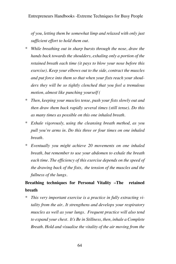*of you, letting them be somewhat limp and relaxed with only just sufficient effort to hold them out.*

- *\* While breathing out in sharp bursts through the nose, draw the hands back towards the shoulders, exhaling only a portion of the retained breath each time (it pays to blow your nose before this exercise). Keep your elbows out to the side, contract the muscles and put force into them so that when your fists reach your shoulders they will be so tightly clenched that you feel a tremulous motion, almost like punching yourself (*
- *\* Then, keeping your muscles tense, push your fists slowly out and then draw them back rapidly several times (still tense). Do this as many times as possible on this one inhaled breath.*
- *\* Exhale vigorously, using the cleansing breath method, as you pull you're arms in. Do this three or four times on one inhaled breath.*
- *\* Eventually you might achieve 20 movements on one inhaled breath, but remember to use your abdomen to exhale the breath each time. The efficiency of this exercise depends on the speed of the drawing back of the fists, the tension of the muscles and the fullness of the lungs.*

### **Breathing techniques for Personal Vitality –The retained breath**

*This very important exercise is a practice in fully extracting vitality from the air.. It strengthens and develops your respiratory muscles as well as your lungs. Frequent practice will also tend to expand your chest. It's Be in Stillness, then, inhale a Complete Breath. Hold and visualise the vitality of the air moving from the*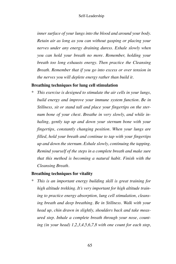*inner surface of your lungs into the blood and around your body. Retain air as long as you can without gasping or placing your nerves under any energy draining duress. Exhale slowly when you can hold your breath no more. Remember, holding your breath too long exhausts energy. Then practice the Cleansing Breath. Remember that if you go into excess or over tension in the nerves you will deplete energy rather than build it.*

#### **Breathing techniques for lung cell stimulation**

*\* This exercise is designed to stimulate the air cells in your lungs, build energy and improve your immune system function. Be in Stillness, sit or stand tall and place your fingertips on the sternum bone of your chest. Breathe in very slowly, and while inhaling, gently tap up and down your sternum bone with your fingertips, constantly changing position. When your lungs are filled, hold your breath and continue to tap with your fingertips up and down the sternum. Exhale slowly, continuing the tapping. Remind yourself of the steps in a complete breath and make sure that this method is becoming a natural habit. Finish with the Cleansing Breath.*

#### **Breathing techniques for vitality**

*\* This is an important energy building skill is great training for high altitude trekking. It's very important for high altitude training to practice energy absorption, lung cell stimulation, cleansing breath and deep breathing. Be in Stillness. Walk with your head up, chin drawn in slightly, shoulders back and take measured step. Inhale a complete breath through your nose, counting (in your head) 1,2,3,4,5,6,7,8 with one count for each step,*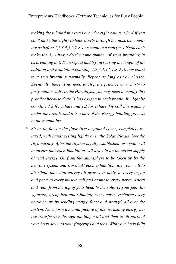*making the inhalation extend over the eight counts. (Or 4 if you can't make the eight) Exhale slowly through the nostrils, counting as before 1,2,3,4,5,6,7.8 one count to a step (or 4 if you can't make the 8). Always do the same number of steps breathing in as breathing out. Then repeat and try increasing the length of inhalation and exhalation counting 1,2,3,4,5,6,7,8,9,10 one count to a step breathing normally. Repeat as long as you choose. Eventually there is no need to stop the practice on a thirty to forty minute walk. In the Himalayas, you may need to modify this practice because there is less oxygen in each breath. It might be counting 1,2 for inhale and 1,2 for exhale. We call this walking under the breath, and it is a part of the Energy building process in the mountains.*

Sit or lie flat on the floor (use a ground cover) completely re*laxed, with hands resting lightly over the Solar Plexus, breathe rhythmically. After the rhythm is fully established, use your will to ensure that each inhalation will draw in an increased supply of vital energy, Qi, from the atmosphere to be taken up by the nervous system and stored. At each exhalation, use your will to distribute that vital energy all over your body, to every organ and part; to every muscle cell and atom; to every nerve, artery and vein, from the top of your head to the soles of your feet. Invigorate, strengthen and stimulate every nerve, recharge every nerve centre by sending energy, force and strength all over the system. Now, form a mental picture of the in-rushing energy being transferring through the lung wall and then to all parts of your body down to your fingertips and toes. With your body fully*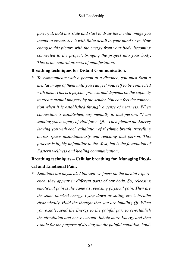*powerful, hold this state and start to draw the mental image you intend to create. See it with finite detail in your mind's eye. Now energise this picture with the energy from your body, becoming connected to the project, bringing the project into your body. This is the natural process of manifestation.*

#### **Breathing techniques for Distant Communication.**

*\* To communicate with a person at a distance, you must form a mental image of them until you can feel yourself to be connected with them. This is a psychic process and depends on the capacity to create mental imagery by the sender. You can feel the connection when it is established through a sense of nearness. When connection is established, say mentally to that person, "I am sending you a supply of vital force, Qi." Then picture the Energy leaving you with each exhalation of rhythmic breath, travelling across space instantaneously and reaching that person. This process is highly unfamiliar to the West, but is the foundation of Eastern wellness and healing communication.*

### **Breathing techniques – Cellular breathing for Managing Physical and Emotional Pain.**

Emotions are physical. Although we focus on the mental experi*ence, they appear in different parts of our body. So, releasing emotional pain is the same as releasing physical pain. They are the same blocked energy. Lying down or sitting erect, breathe rhythmically. Hold the thought that you are inhaling Qi. When you exhale, send the Energy to the painful part to re-establish the circulation and nerve current. Inhale more Energy and then exhale for the purpose of driving out the painful condition, hold-*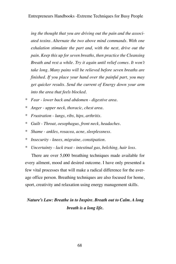*ing the thought that you are driving out the pain and the associated toxins. Alternate the two above mind commands. With one exhalation stimulate the part and, with the next, drive out the pain. Keep this up for seven breaths, then practice the Cleansing Breath and rest a while. Try it again until relief comes. It won't take long. Many pains will be relieved before seven breaths are finished. If you place your hand over the painful part, you may get quicker results. Send the current of Energy down your arm into the area that feels blocked.*

- *\* Fear lower back and abdomen digestive area.*
- *\* Anger upper neck, thoracic, chest area.*
- *\* Frustration lungs, ribs, hips, arthritis.*
- *\* Guilt Throat, oesophagus, front neck, headaches.*
- *\* Shame ankles, rosacea, acne, sleeplessness.*
- *\* Insecurity knees, migraine, constipation.*
- *\* Uncertainty lack trust intestinal gas, belching, hair loss.*

There are over 5,000 breathing techniques made available for every ailment, mood and desired outcome. I have only presented a few vital processes that will make a radical difference for the average office person. Breathing techniques are also focused for home, sport, creativity and relaxation using energy management skills.

### *Nature's Law: Breathe in to Inspire. Breath out to Calm. A long breath is a long life.*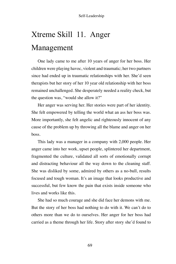# Xtreme Skill 11. Anger Management

One lady came to me after 10 years of anger for her boss. Her children were playing havoc, violent and traumatic; her two partners since had ended up in traumatic relationships with her. She'd seen therapists but her story of her 10 year old relationship with her boss remained unchallenged. She desperately needed a reality check, but the question was, "would she allow it?"

Her anger was serving her. Her stories were part of her identity. She felt empowered by telling the world what an ass her boss was. More importantly, she felt angelic and righteously innocent of any cause of the problem up by throwing all the blame and anger on her boss.

This lady was a manager in a company with 2,000 people. Her anger came into her work, upset people, splintered her department, fragmented the culture, validated all sorts of emotionally corrupt and distracting behaviour all the way down to the cleaning staff. She was disliked by some, admired by others as a no-bull, results focused and tough woman. It's an image that looks productive and successful, but few know the pain that exists inside someone who lives and works like this.

She had so much courage and she did face her demons with me. But the story of her boss had nothing to do with it. We can't do to others more than we do to ourselves. Her anger for her boss had carried as a theme through her life. Story after story she'd found to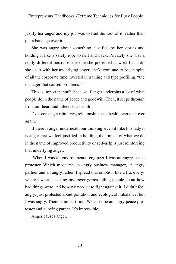justify her anger and my job was to find the root of it rather than put a bandage over it.

She was angry about something, justified by her stories and holding it like a safety rope to hell and back. Privately she was a really different person to the one she presented at work but until she dealt with her underlying anger, she'd continue to be, in spite of all the corporate time invested in training and type profiling, "the manager that caused problems."

This is important stuff, because if anger underpins a lot of what people do in the name of peace and goodwill. Then, it seeps through from our heart and infects our health.

I've seen anger ruin lives, relationships and health over and over again.

If there is anger underneath our thinking, even if, like this lady it is anger that we feel justified in holding, then much of what we do in the name of improved productivity or self-help is just reinforcing that underlying anger.

When I was an environmental engineer I was an angry peace protester. Which made me an angry business manager, an angry partner and an angry father. I spread that emotion like a flu, everywhere I went, sneezing my anger germs telling people about how bad things were and how we needed to fight against it. I didn't feel angry, just protested about pollution and ecological imbalance, but I was angry. There is no partition. We can't be an angry peace protester and a loving parent. It's impossible.

Anger causes anger.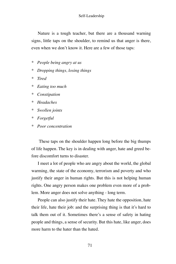Nature is a tough teacher, but there are a thousand warning signs, little taps on the shoulder, to remind us that anger is there, even when we don't know it. Here are a few of those taps:

- *\* People being angry at us*
- *\* Dropping things, losing things*
- *\* Tired*
- *\* Eating too much*
- *\* Constipation*
- *\* Headaches*
- *\* Swollen joints*
- *\* Forgetful*
- *\* Poor concentration*

 These taps on the shoulder happen long before the big thumps of life happen. The key is in dealing with anger, hate and greed before discomfort turns to disaster.

I meet a lot of people who are angry about the world, the global warming, the state of the economy, terrorism and poverty and who justify their anger in human rights. But this is not helping human rights. One angry person makes one problem even more of a problem. More anger does not solve anything - long term.

People can also justify their hate. They hate the opposition, hate their life, hate their job: and the surprising thing is that it's hard to talk them out of it. Sometimes there's a sense of safety in hating people and things, a sense of security. But this hate, like anger, does more harm to the hater than the hated.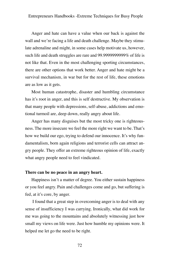Anger and hate can have a value when our back is against the wall and we're facing a life and death challenge. Maybe they stimulate adrenaline and might, in some cases help motivate us, however, such life and death struggles are rare and 99.9999999999% of life is not like that. Even in the most challenging sporting circumstances, there are other options that work better. Anger and hate might be a survival mechanism, in war but for the rest of life, these emotions are as low as it gets.

Most human catastrophe, disaster and humbling circumstance has it's root in anger, and this is self destructive. My observation is that many people with depressions, self-abuse, addictions and emotional turmoil are, deep down, really angry about life.

Anger has many disguises but the most tricky one is righteousness. The more insecure we feel the more right we want to be. That's how we build our ego, trying to defend our innocence. It's why fundamentalism, born again religions and terrorist cells can attract angry people. They offer an extreme righteous opinion of life, exactly what angry people need to feel vindicated.

### **There can be no peace in an angry heart.**

Happiness isn't a matter of degree. You either sustain happiness or you feel angry. Pain and challenges come and go, but suffering is fed, at it's core, by anger.

I found that a great step in overcoming anger is to deal with any sense of insufficiency I was carrying. Ironically, what did work for me was going to the mountains and absolutely witnessing just how small my views on life were. Just how humble my opinions were. It helped me let go the need to be right.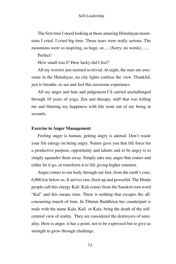The first time I stood looking at those amazing Himalayan mountains I cried. I cried big time. Those tears were really serious. The mountains were so inspiring, so huge, so..... (Sorry, no words) ......

### Perfect!

How small was I? How lucky did I feel?

All my worries just seemed so trivial. At night, the stars are awesome in the Himalayas, no city lights confuse the view. Thankful, just to breathe, to see and feel this awesome experience.

All my anger and hate and judgement I'd carried unchallenged through 10 years of yoga, Zen and therapy, stuff that was killing me and blurring my happiness with life went out of my being in seconds.

### **Exercise in Anger Management**

Feeling anger is human, getting angry is animal. Don't waste your life energy on being angry. Nature gave you that life force for a productive purpose, opportunity and talents and to be angry is to simply squander them away. Simply take any anger that comes and either let it go, or transform it to life giving higher emotion.

Anger comes to our body through our feet, from the earth's core, 6,000 km below us. It arrives raw, fired-up and powerful. The Hindu people call this energy Kali. Kali comes from the Sanskrit root word "Kal" and this means time. There is nothing that escapes the allconsuming march of time. In Tibetan Buddhism her counterpart is male with the name Kala. Kali or Kala, bring the death of the selfcentred view of reality. They are considered the destroyers of unreality. Here is anger, it has a point, not to be expressed but to give us strength to grow through challenge.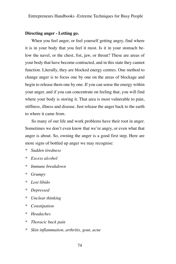### **Directing anger - Letting go.**

When you feel anger, or feel yourself getting angry, find where it is in your body that you feel it most. Is it in your stomach below the navel, or the chest, fist, jaw, or throat? These are areas of your body that have become contracted, and in this state they cannot function. Literally, they are blocked energy centres. One method to change anger is to focus one by one on the areas of blockage and begin to release them one by one. If you can sense the energy within your anger, and if you can concentrate on feeling that, you will find where your body is storing it. That area is most vulnerable to pain, stiffness, illness and disease. Just release the anger back to the earth to where it came from.

So many of our life and work problems have their root in anger. Sometimes we don't even know that we're angry, or even what that anger is about. So, owning the anger is a good first step. Here are more signs of bottled up anger we may recognise:

- *\* Sudden tiredness*
- *\* Excess alcohol*
- *\* Immune breakdown*
- *\* Grumpy*
- *\* Lost libido*
- *\* Depressed*
- *\* Unclear thinking*
- *\* Constipation*
- *\* Headaches*
- *\* Thoracic back pain*
- *\* Skin inflammation, arthritis, gout, acne*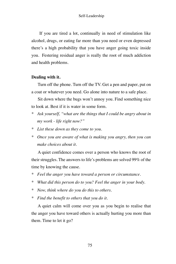If you are tired a lot, continually in need of stimulation like alcohol, drugs, or eating far more than you need or even depressed there's a high probability that you have anger going toxic inside you. Festering residual anger is really the root of much addiction and health problems.

### **Dealing with it.**

Turn off the phone. Turn off the TV. Get a pen and paper, put on a coat or whatever you need. Go alone into nature to a safe place.

Sit down where the bugs won't annoy you. Find something nice to look at. Best if it is water in some form.

- *\* Ask yourself, "what are the things that I could be angry about in my work - life right now?"*
- *\* List these down as they come to you.*
- *\* Once you are aware of what is making you angry, then you can make choices about it.*

A quiet confidence comes over a person who knows the root of their struggles. The answers to life's problems are solved 99% of the time by knowing the cause.

- *\* Feel the anger you have toward a person or circumstance.*
- *\* What did this person do to you? Feel the anger in your body.*
- *\* Now, think where do you do this to others.*
- *\* Find the benefit to others that you do it.*

A quiet calm will come over you as you begin to realise that the anger you have toward others is actually hurting you more than them. Time to let it go?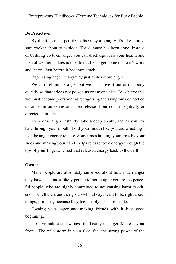### **Be Proactive.**

By the time most people realise they are angry it's like a pressure cooker about to explode. The damage has been done. Instead of building up toxic anger you can discharge it so your health and mental wellbeing does not get toxic. Let anger come in, do it's work and leave - fast before it becomes stuck.

Expressing anger in any way just builds more anger.

We can't eliminate anger but we can move it out of our body quickly so that it does not poison us or anyone else. To achieve this we must become proficient at recognising the symptoms of bottled up anger in ourselves and then release it but not in negativity or directed at others.

To release anger instantly, take a deep breath, and as you exhale through your mouth (hold your mouth like you are whistling), feel the anger energy release. Sometimes holding your arms by your sides and shaking your hands helps release toxic energy through the tips of your fingers. Direct that released energy back to the earth.

### **Own it**

Many people are absolutely surprised about how much anger they have. The most likely people to bottle up anger are the peaceful people, who are highly committed to not causing harm to others. Then, there's another group who always want to be right about things, primarily because they feel deeply insecure inside.

Owning your anger and making friends with it is a good beginning.

Observe nature and witness the beauty of anger. Make it your friend. The wild storm in your face, feel the strong power of the

76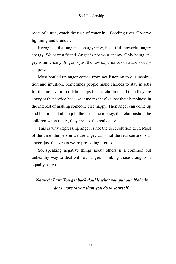roots of a tree, watch the rush of water in a flooding river. Observe lightning and thunder.

Recognise that anger is energy: raw, beautiful, powerful angry energy. We have a friend. Anger is not your enemy. Only being angry is our enemy. Anger is just the raw experience of nature's deepest power.

Most bottled up anger comes from not listening to our inspiration and intuition. Sometimes people make choices to stay in jobs for the money, or in relationships for the children and then they are angry at that choice because it means they've lost their happiness in the interest of making someone else happy. Then anger can come up and be directed at the job, the boss, the money, the relationship, the children when really, they are not the real cause.

This is why expressing anger is not the best solution to it. Most of the time, the person we are angry at, is not the real cause of our anger, just the screen we're projecting it onto.

So, speaking negative things about others is a common but unhealthy way to deal with our anger. Thinking those thoughts is equally as toxic.

*Nature's Law: You get back double what you put out. Nobody does more to you than you do to yourself.*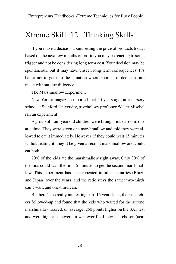## Xtreme Skill 12. Thinking Skills

If you make a decision about setting the price of products today, based on the next few months of profit, you may be reacting to some trigger and not be considering long term cost. Your decision may be spontaneous, but it may have unseen long term consequences. It's better not to get into the situation where short term decisions are made without due diligence.

The Marshmallow Experiment

New Yorker magazine reported that 40 years ago, at a nursery school at Stanford University, psychology professor Walter Mischel ran an experiment.

A group of four year old children were brought into a room, one at a time. They were given one marshmallow and told they were allowed to eat it immediately. However, if they could wait 15 minutes without eating it, they'd be given a second marshmallow and could eat both.

70% of the kids ate the marshmallow right away. Only 30% of the kids could wait the full 15 minutes to get the second marshmallow. This experiment has been repeated in other countries (Brazil and Japan) over the years, and the ratio stays the same: two-thirds can't wait, and one-third can.

But here's the really interesting part, 15 years later, the researchers followed-up and found that the kids who waited for the second marshmallow scored, on average, 250 points higher on the SAT test and were higher achievers in whatever field they had chosen (aca-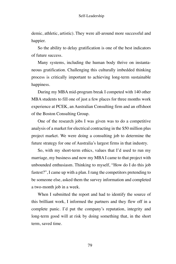demic, athletic, artistic). They were all-around more successful and happier.

So the ability to delay gratification is one of the best indicators of future success.

Many systems, including the human body thrive on instantaneous gratification. Challenging this culturally imbedded thinking process is critically important to achieving long-term sustainable happiness.

During my MBA mid-program break I competed with 140 other MBA students to fill one of just a few places for three months work experience at PCEK, an Australian Consulting firm and an offshoot of the Boston Consulting Group.

One of the research jobs I was given was to do a competitive analysis of a market for electrical contracting in the \$50 million plus project market. We were doing a consulting job to determine the future strategy for one of Australia's largest firms in that industry.

So, with my short-term ethics, values that I'd used to run my marriage, my business and now my MBA I came to that project with unbounded enthusiasm. Thinking to myself, "How do I do this job fastest?", I came up with a plan. I rang the competitors pretending to be someone else, asked them the survey information and completed a two-month job in a week.

When I submitted the report and had to identify the source of this brilliant work, I informed the partners and they flew off in a complete panic. I'd put the company's reputation, integrity and long-term good will at risk by doing something that, in the short term, saved time.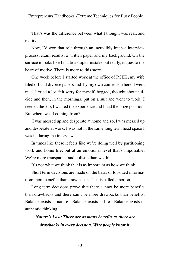That's was the difference between what I thought was real, and reality.

Now, I'd won that role through an incredibly intense interview process, exam results, a written paper and my background. On the surface it looks like I made a stupid mistake but really, it goes to the heart of motive. There is more to this story.

One week before I started work at the office of PCEK, my wife filed official divorce papers and, by my own confession here, I went mad. I cried a lot, felt sorry for myself, begged, thought about suicide and then, in the mornings, put on a suit and went to work. I needed the job, I wanted the experience and I had the prize position. But where was I coming from?

I was messed up and desperate at home and so, I was messed up and desperate at work. I was not in the same long term head space I was in during the interview.

In times like these it feels like we're doing well by partitioning work and home life, but at an emotional level that's impossible. We're more transparent and holistic than we think.

It's not what we think that is as important as how we think.

Short term decisions are made on the basis of lopsided information: more benefits than draw backs. This is called emotion.

Long term decisions prove that there cannot be more benefits than drawbacks and there can't be more drawbacks than benefits. Balance exists in nature - Balance exists in life - Balance exists in authentic thinking.

*Nature's Law: There are as many benefits as there are drawbacks in every decision. Wise people know it.*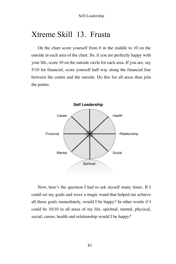## Xtreme Skill 13. Frusta

On the chart score yourself from 0 in the middle to 10 on the outside in each area of the chart. So, if you are perfectly happy with your life, score 10 on the outside circle for each area. If you are, say 5/10 for financial, score yourself half way along the financial line between the centre and the outside. Do this for all areas then join the points.



Now, here's the question I had to ask myself many times. If I could set my goals and wave a magic wand that helped me achieve all those goals immediately, would I be happy? In other words if I could be 10/10 in all areas of my life, spiritual, mental, physical, social, career, health and relationship would I be happy?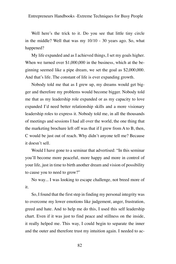Well here's the trick to it. Do you see that little tiny circle in the middle? Well that was my 10/10 - 30 years ago. So, what happened?

My life expanded and as I achieved things, I set my goals higher. When we turned over \$1,000,000 in the business, which at the beginning seemed like a pipe dream, we set the goal as \$2,000,000. And that's life. The constant of life is ever expanding growth.

Nobody told me that as I grew up, my dreams would get bigger and therefore my problems would become bigger. Nobody told me that as my leadership role expanded or as my capacity to love expanded I'd need better relationship skills and a more visionary leadership roles to express it. Nobody told me, in all the thousands of meetings and sessions I had all over the world, the one thing that the marketing brochure left off was that if I grew from A to B, then, C would be just out of reach. Why didn't anyone tell me? Because it doesn't sell.

Would I have gone to a seminar that advertised: "In this seminar you'll become more peaceful, more happy and more in control of your life, just in time to birth another dream and vision of possibility to cause you to need to grow?"

No way... I was looking to escape challenge, not breed more of it.

So, I found that the first step in finding my personal integrity was to overcome my lower emotions like judgement, anger, frustration, greed and hate. And to help me do this, I used this self leadership chart. Even if it was just to find peace and stillness on the inside, it really helped me. This way, I could begin to separate the inner and the outer and therefore trust my intuition again. I needed to ac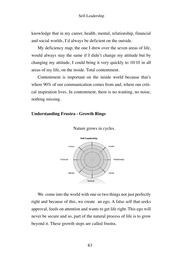knowledge that in my career, health, mental, relationship, financial and social worlds, I'd always be deficient on the outside.

My deficiency map, the one I drew over the seven areas of life, would always stay the same if I didn't change my attitude but by changing my attitude, I could bring it very quickly to 10/10 in all areas of my life, on the inside. Total contentment.

Contentment is important on the inside world because that's where 90% of our communication comes from and, where our critical inspiration lives. In contentment, there is no wanting, no noise, nothing missing.

### **Understanding Frustra - Growth Rings**



Nature grows in cycles.

We come into the world with one or two things not just perfectly right and because of this, we create an ego. A false self that seeks approval, feeds on attention and wants to get life right. This ego will never be secure and so, part of the natural process of life is to grow beyond it. These growth steps are called frustra.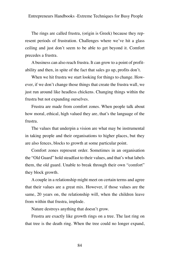The rings are called frustra, (origin is Greek) because they represent periods of frustration. Challenges where we've hit a glass ceiling and just don't seem to be able to get beyond it. Comfort precedes a frustra.

A business can also reach frustra. It can grow to a point of profitability and then, in spite of the fact that sales go up, profits don't.

When we hit frustra we start looking for things to change. However, if we don't change those things that create the frustra wall, we just run around like headless chickens. Changing things within the frustra but not expanding ourselves.

Frustra are made from comfort zones. When people talk about how moral, ethical, high valued they are, that's the language of the frustra.

The values that underpin a vision are what may be instrumental in taking people and their organisations to higher places, but they are also fences, blocks to growth at some particular point.

Comfort zones represent order. Sometimes in an organisation the "Old Guard" hold steadfast to their values, and that's what labels them, the old guard. Unable to break through their own "comfort" they block growth.

A couple in a relationship might meet on certain terms and agree that their values are a great mix. However, if those values are the same, 20 years on, the relationship will, when the children leave from within that frustra, implode.

Nature destroys anything that doesn't grow.

Frustra are exactly like growth rings on a tree. The last ring on that tree is the death ring. When the tree could no longer expand,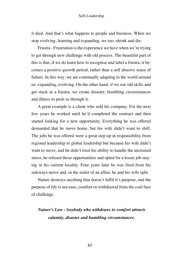it died. And that's what happens to people and business. When we stop evolving, learning and expanding, we too, shrink and die.

Frustra - Frustration is the experience we have when we're trying to get through new challenge with old process. The beautiful part of this is that, if we do learn how to recognise and label a frustra, it becomes a positive growth period, rather than a self abusive sense of failure. In this way, we are continually adapting to the world around us: expanding, evolving. On the other hand, if we use old skills and get stuck in a frustra, we create disaster, humbling circumstances and illness to push us through it.

A great example is a client who sold his company. For the next few years he worked until he'd completed the contract and then started looking for a new opportunity. Everything he was offered demanded that he move home, but his wife didn't want to shift. The jobs he was offered were a great step up in responsibility from regional leadership to global leadership but because his wife didn't want to move, and he didn't trust his ability to handle the increased stress, he refused those opportunities and opted for a lesser job staying in his current locality. Four years later he was fired from his sideways move and, in the midst of an affair, he and his wife split.

Nature destroys anything that doesn't fulfil it's purpose, and the purpose of life is not ease, comfort or withdrawal from the coal face of challenge.

### *Nature's Law - Anybody who withdraws to comfort attracts calamity, disaster and humbling circumstances.*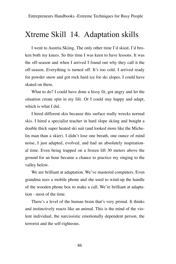## Xtreme Skill 14. Adaptation skills

I went to Austria Skiing. The only other time I'd skied, I'd broken both my knees. So this time I was keen to have lessons. It was the off-season and when I arrived I found out why they call it the off-season. Everything is turned off. It's too cold. I arrived ready for powder snow and got rock hard ice for ski slopes. I could have skated on them.

What to do? I could have done a hissy fit, got angry and let the situation create spin in my life. Or I could stay happy and adapt, which is what I did.

I hired different skis because this surface really wrecks normal skis. I hired a specialist teacher in hard slope skiing and bought a double thick super heated ski suit (and looked more like the Michelin man than a skier). I didn't lose one breath, one ounce of mind noise, I just adapted, evolved, and had an absolutely inspirational time. Even being trapped on a frozen lift 30 meters above the ground for an hour became a chance to practice my singing to the valley below.

We are brilliant at adaptation. We've mastered computers. Even grandma uses a mobile phone and she used to wind-up the handle of the wooden phone box to make a call. We're brilliant at adaptation - most of the time.

There's a level of the human brain that's very primal. It thinks and instinctively reacts like an animal. This is the mind of the violent individual, the narcissistic emotionally dependent person, the terrorist and the self-righteous.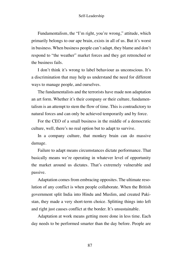Fundamentalism, the "I'm right, you're wrong," attitude, which primarily belongs to our ape brain, exists in all of us. But it's worst in business. When business people can't adapt, they blame and don't respond to "the weather" market forces and they get retrenched or the business fails.

I don't think it's wrong to label behaviour as unconscious. It's a discrimination that may help us understand the need for different ways to manage people, and ourselves.

The fundamentalists and the terrorists have made non adaptation an art form. Whether it's their company or their culture, fundamentalism is an attempt to stem the flow of time. This is contradictory to natural forces and can only be achieved temporarily and by force.

For the CEO of a small business in the middle of a democratic culture, well, there's no real option but to adapt to survive.

In a company culture, that monkey brain can do massive damage.

Failure to adapt means circumstances dictate performance. That basically means we're operating in whatever level of opportunity the market around us dictates. That's extremely vulnerable and passive.

Adaptation comes from embracing opposites. The ultimate resolution of any conflict is when people collaborate. When the British government split India into Hindu and Muslim, and created Pakistan, they made a very short-term choice. Splitting things into left and right just causes conflict at the border. It's unsustainable.

Adaptation at work means getting more done in less time. Each day needs to be performed smarter than the day before. People are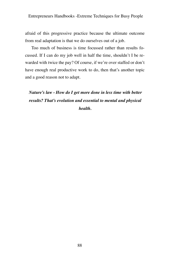afraid of this progressive practice because the ultimate outcome from real adaptation is that we do ourselves out of a job.

Too much of business is time focussed rather than results focussed. If I can do my job well in half the time, shouldn't I be rewarded with twice the pay? Of course, if we're over staffed or don't have enough real productive work to do, then that's another topic and a good reason not to adapt.

*Nature's law - How do I get more done in less time with better results? That's evolution and essential to mental and physical health.*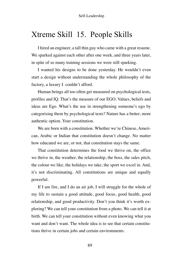## Xtreme Skill 15. People Skills

I hired an engineer, a tall thin guy who came with a great resume. We sparked against each other after one week, and three years later, in spite of so many training sessions we were still sparking.

I wanted his designs to be done yesterday. He wouldn't even start a design without understanding the whole philosophy of the factory, a luxury I couldn't afford.

Human beings all too often get measured on psychological tests, profiles and IQ. That's the measure of our EGO. Values, beliefs and ideas are Ego. What's the use in strengthening someone's ego by categorising them by psychological tests? Nature has a better, more authentic option. Your constitution.

We are born with a constitution. Whether we're Chinese, American, Arabic or Indian that constitution doesn't change. No matter how educated we are, or not, that constitution stays the same.

That constitution determines the food we thrive on, the office we thrive in, the weather, the relationship, the boss, the sales pitch, the colour we like, the holidays we take, the sport we excel in. And, it's not discriminating. All constitutions are unique and equally powerful.

If I am fire, and I do an air job, I will struggle for the whole of my life to sustain a good attitude, good focus, good health, good relationship, and good productivity. Don't you think it's worth exploring? We can tell your constitution from a photo. We can tell it at birth. We can tell your constitution without even knowing what you want and don't want. The whole idea is to see that certain constitutions thrive in certain jobs and certain environments.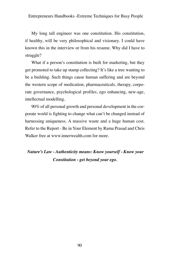My long tall engineer was one constitution. His constitution, if healthy, will be very philosophical and visionary. I could have known this in the interview or from his resume. Why did I have to struggle?

What if a person's constitution is built for marketing, but they get promoted to take up stamp collecting? It's like a tree wanting to be a building. Such things cause human suffering and are beyond the western scope of medication, pharmaceuticals, therapy, corporate governance, psychological profiles, ego enhancing, new-age, intellectual modelling.

90% of all personal growth and personal development in the corporate world is fighting to change what can't be changed instead of harnessing uniqueness. A massive waste and a huge human cost. Refer to the Report - Be in Your Element by Rama Prasad and Chris Walker free at www.innerwealth.com for more.

### *Nature's Law - Authenticity means: Know yourself - Know your Constitution - get beyond your ego.*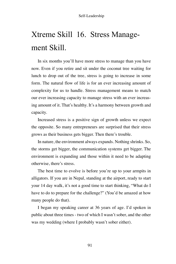# Xtreme Skill 16. Stress Management Skill.

In six months you'll have more stress to manage than you have now. Even if you retire and sit under the coconut tree waiting for lunch to drop out of the tree, stress is going to increase in some form. The natural flow of life is for an ever increasing amount of complexity for us to handle. Stress management means to match our ever increasing capacity to manage stress with an ever increasing amount of it. That's healthy. It's a harmony between growth and capacity.

Increased stress is a positive sign of growth unless we expect the opposite. So many entrepreneurs are surprised that their stress grows as their business gets bigger. Then there's trouble.

In nature, the environment always expands. Nothing shrinks. So, the storms get bigger, the communication systems get bigger. The environment is expanding and those within it need to be adapting otherwise, there's stress.

The best time to evolve is before you're up to your armpits in alligators. If you are in Nepal, standing at the airport, ready to start your 14 day walk, it's not a good time to start thinking, "What do I have to do to prepare for the challenge?" (You'd be amazed at how many people do that).

I began my speaking career at 36 years of age. I'd spoken in public about three times - two of which I wasn't sober, and the other was my wedding (where I probably wasn't sober either).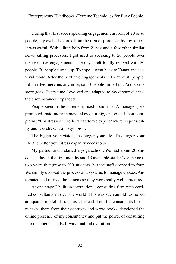During that first sober speaking engagement, in front of 20 or so people, my eyeballs shook from the tremor produced by my knees. It was awful. With a little help from Zanax and a few other similar nerve killing processes, I got used to speaking to 20 people over the next five engagements. The day I felt totally relaxed with 20 people, 30 people turned up. To cope, I went back to Zanax and survival mode. After the next five engagements in front of 30 people, I didn't feel nervous anymore, so 50 people turned up. And so the story goes. Every time I evolved and adapted to my circumstances, the circumstances expanded.

People seem to be super surprised about this. A manager gets promoted, paid more money, takes on a bigger job and then complains, "I'm stressed." Hello, what do we expect? More responsibility and less stress is an oxymoron.

The bigger your vision, the bigger your life. The bigger your life, the better your stress capacity needs to be.

My partner and I started a yoga school. We had about 20 students a day in the first months and 13 available staff. Over the next two years that grew to 200 students, but the staff dropped to four. We simply evolved the process and systems to manage classes. Automated and refined the lessons so they were really well structured.

At one stage I built an international consulting firm with certified consultants all over the world. This was such an old fashioned antiquated model of franchise. Instead, I cut the consultants loose, released them from their contracts and wrote books, developed the online presence of my consultancy and put the power of consulting into the clients hands. It was a natural evolution.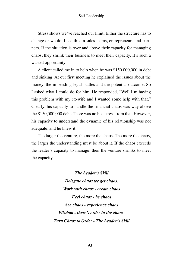Stress shows we've reached our limit. Either the structure has to change or we do. I see this in sales teams, entrepreneurs and partners. If the situation is over and above their capacity for managing chaos, they shrink their business to meet their capacity. It's such a wasted opportunity.

A client called me in to help when he was \$150,000,000 in debt and sinking. At our first meeting he explained the issues about the money, the impending legal battles and the potential outcome. So I asked what I could do for him. He responded, "Well I'm having this problem with my ex-wife and I wanted some help with that." Clearly, his capacity to handle the financial chaos was way above the \$150,000,000 debt. There was no bad stress from that. However, his capacity to understand the dynamic of his relationship was not adequate, and he knew it.

The larger the venture, the more the chaos. The more the chaos, the larger the understanding must be about it. If the chaos exceeds the leader's capacity to manage, then the venture shrinks to meet the capacity.

> *The Leader's Skill Delegate chaos we get chaos. Work with chaos - create chaos Feel chaos - be chaos See chaos - experience chaos Wisdom - there's order in the chaos. Turn Chaos to Order - The Leader's Skill*

> > 93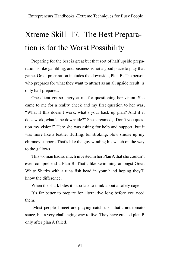# Xtreme Skill 17. The Best Preparation is for the Worst Possibility

Preparing for the best is great but that sort of half upside preparation is like gambling, and business is not a good place to play that game. Great preparation includes the downside, Plan B. The person who prepares for what they want to attract as an all upside result is only half prepared.

One client got so angry at me for questioning her vision. She came to me for a reality check and my first question to her was, "What if this doesn't work, what's your back up plan? And if it does work, what's the downside?" She screamed, "Don't you question my vision!" Here she was asking for help and support, but it was more like a feather fluffing, fur stroking, blow smoke up my chimney support. That's like the guy winding his watch on the way to the gallows.

This woman had so much invested in her Plan A that she couldn't even comprehend a Plan B. That's like swimming amongst Great White Sharks with a tuna fish head in your hand hoping they'll know the difference.

When the shark bites it's too late to think about a safety cage.

It's far better to prepare for alternative long before you need them.

 Most people I meet are playing catch up - that's not tomato sauce, but a very challenging way to live. They have created plan B only after plan A failed.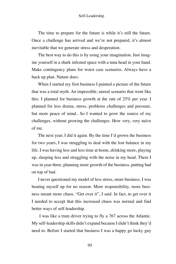The time to prepare for the future is while it's still the future. Once a challenge has arrived and we're not prepared, it's almost inevitable that we generate stress and desperation.

The best way to do this is by using your imagination. Just imagine yourself in a shark infested space with a tuna head in your hand. Make contingency plans for worst case scenarios. Always have a back up plan. Nature does.

When I started my first business I painted a picture of the future that was a total myth. An impossible, unreal scenario that went like this: I planned for business growth at the rate of 25% per year. I planned for less drama, stress, problems challenges and pressure, but more peace of mind.. So I wanted to grow the source of my challenges, without growing the challenges. How very, very naïve of me.

The next year, I did it again. By the time I'd grown the business for two years, I was struggling to deal with the lost balance in my life. I was having less and less time at home, drinking more, playing up, sleeping less and struggling with the noise in my head. There I was in year three, planning more growth of the business, putting bad on top of bad.

I never questioned my model of less stress, more business. I was beating myself up for no reason. More responsibility, more business meant more chaos. "Get over it", I said. In fact, to get over it I needed to accept that this increased chaos was normal and find better ways of self-leadership.

I was like a tram driver trying to fly a 767 across the Atlantic. My self-leadership skills didn't expand because I didn't think they'd need to. Before I started that business I was a happy go lucky guy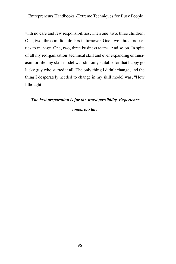with no care and few responsibilities. Then one, two, three children. One, two, three million dollars in turnover. One, two, three properties to manage. One, two, three business teams. And so on. In spite of all my reorganisation, technical skill and ever expanding enthusiasm for life, my skill-model was still only suitable for that happy go lucky guy who started it all. The only thing I didn't change, and the thing I desperately needed to change in my skill model was, "How I thought."

# *The best preparation is for the worst possibility. Experience*

*comes too late.*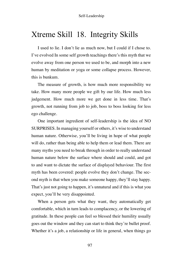## Xtreme Skill 18. Integrity Skills

I used to lie. I don't lie as much now, but I could if I chose to. I've evolved In some self growth teachings there's this myth that we evolve away from one person we used to be, and morph into a new human by meditation or yoga or some collapse process. However, this is bunkum.

The measure of growth, is how much more responsibility we take. How many more people we gift by our life. How much less judgement. How much more we get done in less time. That's growth, not running from job to job, boss to boss looking for less ego challenge.

One important ingredient of self-leadership is the idea of NO SURPRISES. In managing yourself or others, it's wise to understand human nature. Otherwise, you'll be living in hope of what people will do, rather than being able to help them or lead them. There are many myths you need to break through in order to really understand human nature below the surface where should and could, and got to and want to dictate the surface of displayed behaviour. The first myth has been covered: people evolve they don't change. The second myth is that when you make someone happy, they'll stay happy. That's just not going to happen, it's unnatural and if this is what you expect, you'll be very disappointed.

When a person gets what they want, they automatically get comfortable, which in turn leads to complacency, or the lowering of gratitude. In these people can feel so blessed their humility usually goes out the window and they can start to think they're bullet proof. Whether it's a job, a relationship or life in general, when things go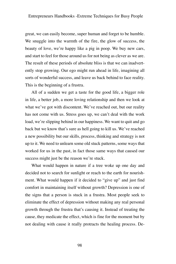great, we can easily become, super human and forget to be humble. We snuggle into the warmth of the fire, the glow of success, the beauty of love, we're happy like a pig in poop. We buy new cars, and start to feel for those around us for not being as clever as we are. The result of these periods of absolute bliss is that we can inadvertently stop growing. Our ego might run ahead in life, imagining all sorts of wonderful success, and leave us back behind to face reality. This is the beginning of a frustra.

All of a sudden we get a taste for the good life, a bigger role in life, a better job, a more loving relationship and then we look at what we've got with discontent. We've reached out, but our reality has not come with us. Stress goes up, we can't deal with the work load, we're slipping behind in our happiness. We want to quit and go back but we know that's sure as hell going to kill us. We've reached a new possibility but our skills, process, thinking and strategy is not up to it. We need to unlearn some old stuck patterns, some ways that worked for us in the past, in fact those same ways that caused our success might just be the reason we're stuck.

What would happen in nature if a tree woke up one day and decided not to search for sunlight or reach to the earth for nourishment. What would happen if it decided to "give up" and just find comfort in maintaining itself without growth? Depression is one of the signs that a person is stuck in a frustra. Most people seek to eliminate the effect of depression without making any real personal growth through the frustra that's causing it. Instead of treating the cause, they medicate the effect, which is fine for the moment but by not dealing with cause it really protracts the healing process. De-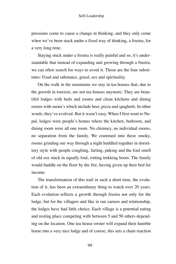pressions come to cause a change in thinking, and they only come when we've been stuck under a fixed way of thinking, a frustra, for a very long time.

Staying stuck under a frustra is really painful and so, it's understandable that instead of expanding and growing through a frustra, we can often search for ways to avoid it. Those are the four substitutes: Food and substance, greed, sex and spirituality.

On the walk in the mountains we stay in tea houses that, due to the growth in tourism, are not tea houses anymore. They are beautiful lodges with beds and rooms and clean kitchens and dining rooms with menu's which include beer, pizza and spaghetti. In other words, they've evolved. But it wasn't easy. When I first went to Nepal, lodges were people's homes where the kitchen, bedroom, and dining room were all one room. No chimney, no individual rooms, no separation from the family. We crammed into these smoky, rooms grinding our way through a night huddled together in dormitory style with people coughing, farting, puking and the foul smell of old sox stuck in equally foul, rotting trekking boots. The family would huddle on the floor by the fire, having given up their bed for income.

The transformation of this trail in such a short time, the evolution of it, has been an extraordinary thing to watch over 20 years. Each evolution reflects a growth through frustra not only for the lodge, but for the villagers and like in our careers and relationship, the lodges have had little choice. Each village is a potential eating and resting place competing with between 5 and 50 others depending on the location. One tea house owner will expand their humble home into a very nice lodge and of course, this sets a chain reaction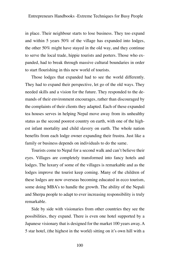in place. Their neighbour starts to lose business. They too expand and within 5 years 50% of the village has expanded into lodges, the other 50% might have stayed in the old way, and they continue to serve the local trade, hippie tourists and porters. Those who expanded, had to break through massive cultural boundaries in order to start flourishing in this new world of tourists.

Those lodges that expanded had to see the world differently. They had to expand their perspective, let go of the old ways. They needed skills and a vision for the future. They responded to the demands of their environment encourages, rather than discouraged by the complaints of their clients they adapted. Each of these expanded tea houses serves in helping Nepal move away from its unhealthy status as the second poorest country on earth, with one of the highest infant mortality and child slavery on earth. The whole nation benefits from each lodge owner expanding their frustra. Just like a family or business depends on individuals to do the same.

Tourists come to Nepal for a second walk and can't believe their eyes. Villages are completely transformed into fancy hotels and lodges. The luxury of some of the villages is remarkable and as the lodges improve the tourist keep coming. Many of the children of these lodges are now overseas becoming educated in ecco tourism, some doing MBA's to handle the growth. The ability of the Nepali and Sherpa people to adapt to ever increasing responsibility is truly remarkable.

Side by side with visionaries from other countries they see the possibilities, they expand. There is even one hotel supported by a Japanese visionary that is designed for the market 100 years away. A 5 star hotel, (the highest in the world) sitting on it's own hill with a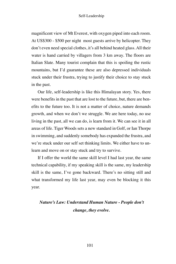magnificent view of Mt Everest, with oxygen piped into each room. At US\$300 - \$500 per night most guests arrive by helicopter. They don't even need special clothes, it's all behind heated glass. All their water is hand carried by villagers from 3 km away. The floors are Italian Slate. Many tourist complain that this is spoiling the rustic mountains, but I'd guarantee these are also depressed individuals stuck under their frustra, trying to justify their choice to stay stuck in the past.

Our life, self-leadership is like this Himalayan story. Yes, there were benefits in the past that are lost to the future, but, there are benefits to the future too. It is not a matter of choice, nature demands growth, and when we don't we struggle. We are here today, no use living in the past, all we can do, is learn from it. We can see it in all areas of life. Tiger Woods sets a new standard in Golf, or Ian Thorpe in swimming, and suddenly somebody has expanded the frustra, and we're stuck under our self set thinking limits. We either have to unlearn and move on or stay stuck and try to survive.

If I offer the world the same skill level I had last year, the same technical capability, if my speaking skill is the same, my leadership skill is the same, I've gone backward. There's no sitting still and what transformed my life last year, may even be blocking it this year.

### *Nature's Law: Understand Human Nature - People don't change, they evolve.*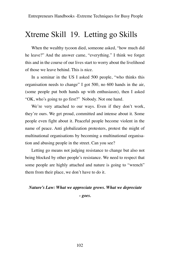## Xtreme Skill 19. Letting go Skills

When the wealthy tycoon died, someone asked, "how much did he leave?" And the answer came, "everything." I think we forget this and in the course of our lives start to worry about the livelihood of those we leave behind. This is nice.

In a seminar in the US I asked 500 people, "who thinks this organisation needs to change" I got 500, no 600 hands in the air, (some people put both hands up with enthusiasm), then I asked "OK, who's going to go first?" Nobody. Not one hand.

We're very attached to our ways. Even if they don't work, they're ours. We get proud, committed and intense about it. Some people even fight about it. Peaceful people become violent in the name of peace. Anti globalization protesters, protest the might of multinational organisations by becoming a multinational organisation and abusing people in the street. Can you see?

Letting go means not judging resistance to change but also not being blocked by other people's resistance. We need to respect that some people are highly attached and nature is going to "wrench" them from their place, we don't have to do it.

### *Nature's Law: What we appreciate grows. What we depreciate*

*- goes.*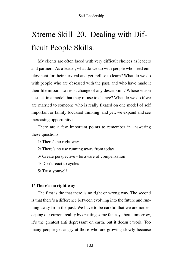# Xtreme Skill 20. Dealing with Difficult People Skills.

My clients are often faced with very difficult choices as leaders and partners. As a leader, what do we do with people who need employment for their survival and yet, refuse to learn? What do we do with people who are obsessed with the past, and who have made it their life mission to resist change of any description? Whose vision is stuck in a model that they refuse to change? What do we do if we are married to someone who is really fixated on one model of self important or family focussed thinking, and yet, we expand and see increasing opportunity?

There are a few important points to remember in answering these questions:

1/ There's no right way

- 2/ There's no use running away from today
- 3/ Create perspective be aware of compensation
- 4/ Don't react to cycles
- 5/ Trust yourself.

### **1/ There's no right way**

The first is the that there is no right or wrong way. The second is that there's a difference between evolving into the future and running away from the past. We have to be careful that we are not escaping our current reality by creating some fantasy about tomorrow, it's the greatest anti depressant on earth, but it doesn't work. Too many people get angry at those who are growing slowly because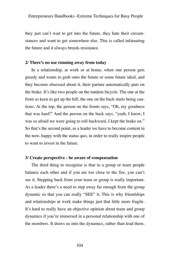they just can't wait to get into the future, they hate their circumstances and want to get somewhere else. This is called infatuating the future and it always breeds resistance.

### **2/ There's no use running away from today**

In a relationship, at work or at home, when one person gets greedy and wants to grab onto the future or some future ideal, and they become obsessed about it, their partner automatically puts on the brake. It's like two people on the tandem bicycle. The one at the front so keen to get up the hill, the one on the back starts being cautious. At the top, the person on the fronts says, "Oh, my goodness that was hard!" And the person on the back says, "yeah, I know, I was so afraid we were going to roll backward, I kept the brake on." So that's the second point, as a leader we have to become content in the now, happy with the status quo, in order to really inspire people to want to invest in the future.

### **3/ Create perspective - be aware of compensation**

The third thing to recognise is that in a group or team people balance each other and if you are too close to the fire, you can't see it. Stepping back from your team or group is really important. As a leader there's a need to step away far enough from the group dynamic so that you can really "SEE" it. This is why friendships and relationships at work make things just that little more fragile. It's hard to really have an objective opinion about team and group dynamics if you're immersed in a personal relationship with one of the members. It draws us into the dynamics, rather than lead them.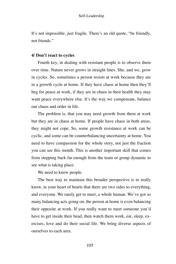It's not impossible, just fragile. There's an old quote, "be friendly, not friends."

### **4/ Don't react to cycles**

Fourth key, in dealing with resistant people is to observe them over time. Nature never grows in straight lines. She, and we, grow in cycles. So, sometimes a person resists at work because they are in a growth cycle at home. If they have chaos at home then they'll beg for peace at work, if they are in chaos in their health they may want peace everywhere else. It's the way we compensate, balance our chaos and order in life.

The problem is, that you may need growth from them at work but they are in chaos at home. If people have chaos in both areas, they might not cope. So, some growth resistance at work can be cyclic, and some can be counterbalancing uncertainty at home. You need to have compassion for the whole story, not just the fraction you can see this month. This is another important skill that comes from stepping back far enough from the team or group dynamic to see what is taking place.

We need to know people.

The best way to maintain this broader perspective is to really know, in your heart of hearts that there are two sides to everything, and everyone. We rarely get to meet, a whole human. We've got so many balancing acts going on, the person at home is even balancing their opposite at work. If you really want to meet someone you'd have to get inside their head, then watch them work, eat, sleep, exercises, love and do their social life. We bring diverse aspects of ourselves to each area.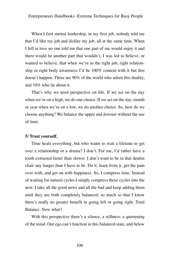When I first started leadership, in my first job, nobody told me that I'd like my job and dislike my job, all at the same time. When I fell in love no one told me that one part of me would enjoy it and there would be another part that wouldn't. I was led to believe, or wanted to believe, that when we're in the right job, right relationship or right body awareness I'd be 100% content with it but this doesn't happen. There are 90% of the world who admit this duality, and 10% who lie about it.

That's why we need perspective on life. If we act on the day when we're on a high, we do one choice. If we act on the day, month or year when we're on a low, we do another choice. So, how do we choose anything? We balance the upper and downer without the use of time.

### **5/ Trust yourself.**

Time heals everything, but who wants to wait a lifetime to get over a relationship or a drama? I don't. For me, I'd rather have a tooth extracted faster than slower. I don't want to be in that dentist chair any longer than I have to be. Do it, learn from it, get the pain over with, and get on with happiness. So, I compress time. Instead of waiting for natural cycles I simply compress those cycles into the now. I take all the good news and all the bad and keep adding them until they are both completely balanced, so much so that I know there's really no greater benefit in going left or going right. Total Balance. Now what?

With this perspective there's a silence, a stillness, a quietening of the mind. Our ego can't function in this balanced state, and below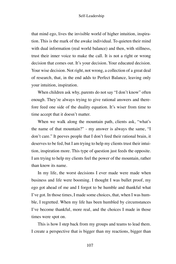that mind ego, lives the invisible world of higher intuition, inspiration. This is the mark of the awake individual. To quieten their mind with dual information (real world balance) and then, with stillness, trust their inner voice to make the call. It is not a right or wrong decision that comes out. It's your decision. Your educated decision. Your wise decision. Not right, not wrong, a collection of a great deal of research, that, in the end adds to Perfect Balance, leaving only your intuition, inspiration.

When children ask why, parents do not say "I don't know" often enough. They're always trying to give rational answers and therefore feed one side of the duality equation. It's wiser from time to time accept that it doesn't matter.

When we walk along the mountain path, clients ask, "what's the name of that mountain?" - my answer is always the same, "I don't care." It peeves people that I don't feed their rational brain, it deserves to be fed, but I am trying to help my clients trust their intuition, inspiration more. This type of question just feeds the opposite. I am trying to help my clients feel the power of the mountain, rather than know its name.

In my life, the worst decisions I ever made were made when business and life were booming. I thought I was bullet proof, my ego got ahead of me and I forgot to be humble and thankful what I've got. In those times, I made some choices, that, when I was humble, I regretted. When my life has been humbled by circumstances I've become thankful, more real, and the choices I made in those times were spot on.

This is how I step back from my groups and teams to lead them. I create a perspective that is bigger than my reactions, bigger than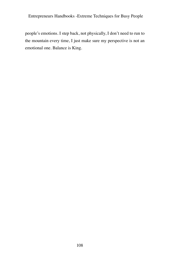people's emotions. I step back, not physically, I don't need to run to the mountain every time, I just make sure my perspective is not an emotional one. Balance is King.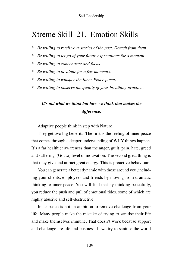## Xtreme Skill 21. Emotion Skills

- *\* Be willing to retell your stories of the past. Detach from them.*
- *\* Be willing to let go of your future expectations for a moment.*
- *\* Be willing to concentrate and focus.*
- *\* Be willing to be alone for a few moments.*
- *\* Be willing to whisper the Inner Peace poem.*
- *\* Be willing to observe the quality of your breathing practice.*

### *It's not what we think but how we think that makes the difference.*

Adaptive people think in step with Nature.

They get two big benefits. The first is the feeling of inner peace that comes through a deeper understanding of WHY things happen. It's a far healthier awareness than the anger, guilt, pain, hate, greed and suffering (Got to) level of motivation. The second great thing is that they give and attract great energy. This is proactive behaviour.

You can generate a better dynamic with those around you, including your clients, employees and friends by moving from dramatic thinking to inner peace. You will find that by thinking peacefully, you reduce the push and pull of emotional tides, some of which are highly abusive and self-destructive.

Inner peace is not an ambition to remove challenge from your life. Many people make the mistake of trying to sanitise their life and make themselves immune. That doesn't work because support and challenge are life and business. If we try to sanitise the world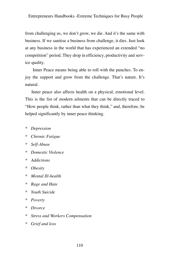from challenging us, we don't grow, we die. And it's the same with business. If we sanitise a business from challenge, it dies. Just look at any business in the world that has experienced an extended "no competition" period. They drop in efficiency, productivity and service quality.

Inner Peace means being able to roll with the punches. To enjoy the support and grow from the challenge. That's nature. It's natural.

Inner peace also affects health on a physical, emotional level. This is the list of modern ailments that can be directly traced to "How people think, rather than what they think," and, therefore, be helped significantly by inner peace thinking.

- *\* Depression*
- *\* Chronic Fatigue*
- *\* Self-Abuse*
- *\* Domestic Violence*
- *\* Addictions*
- *\* Obesity*
- *\* Mental Ill-health*
- *\* Rage and Hate*
- *\* Youth Suicide*
- *\* Poverty*
- *\* Divorce*
- *\* Stress and Workers Compensation*
- *\* Grief and loss*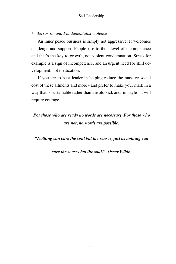#### *\* Terrorism and Fundamentalist violence*

An inner peace business is simply not aggressive. It welcomes challenge and support. People rise to their level of incompetence and that's the key to growth, not violent condemnation. Stress for example is a sign of incompetence, and an urgent need for skill development, not medication.

If you are to be a leader in helping reduce the massive social cost of these ailments and more - and prefer to make your mark in a way that is sustainable rather than the old kick and run style - it will require courage.

## *For those who are ready no words are necessary. For those who are not, no words are possible.*

*"Nothing can cure the soul but the senses, just as nothing can* 

*cure the senses but the soul." -Oscar Wilde.*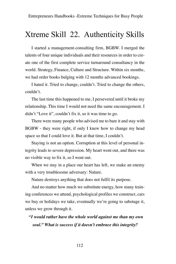## Xtreme Skill 22. Authenticity Skills

I started a management-consulting firm, BGBW. I merged the talents of four unique individuals and their resources in order to create one of the first complete service turnaround consultancy in the world. Strategy, Finance, Culture and Structure. Within six months, we had order books bulging with 12 months advanced bookings.

I hated it. Tried to change, couldn't. Tried to change the others, couldn't.

The last time this happened to me, I persevered until it broke my relationship. This time I would not need the same encouragement. I didn't "Love it", couldn't fix it, so it was time to go.

There were many people who advised me to bare it and stay with BGBW - they were right, if only I knew how to change my head space so that I could love it. But at that time, I couldn't.

Staying is not an option. Corruption at this level of personal integrity leads to severe depression. My heart went out, and there was no visible way to fix it, so I went out.

When we stay in a place our heart has left, we make an enemy with a very troublesome adversary: Nature.

Nature destroys anything that does not fulfil its purpose.

And no matter how much we substitute energy, how many training conferences we attend, psychological profiles we construct, cars we buy or holidays we take, eventually we're going to sabotage it, unless we grow through it.

 *"I would rather have the whole world against me than my own soul." What is success if it doesn't embrace this integrity?*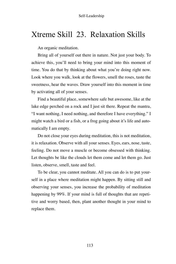## Xtreme Skill 23. Relaxation Skills

An organic meditation.

Bring all of yourself out there in nature. Not just your body. To achieve this, you'll need to bring your mind into this moment of time. You do that by thinking about what you're doing right now. Look where you walk, look at the flowers, smell the roses, taste the sweetness, hear the waves. Draw yourself into this moment in time by activating all of your senses.

Find a beautiful place, somewhere safe but awesome, like at the lake edge perched on a rock and I just sit there. Repeat the mantra, "I want nothing, I need nothing, and therefore I have everything." I might watch a bird or a fish, or a frog going about it's life and automatically I am empty.

Do not close your eyes during meditation, this is not meditation, it is relaxation. Observe with all your senses. Eyes, ears, nose, taste, feeling. Do not move a muscle or become obsessed with thinking. Let thoughts be like the clouds let them come and let them go. Just listen, observe, smell, taste and feel.

To be clear, you cannot meditate. All you can do is to put yourself in a place where meditation might happen. By sitting still and observing your senses, you increase the probability of meditation happening by 99%. If your mind is full of thoughts that are repetitive and worry based, then, plant another thought in your mind to replace them.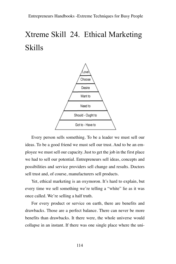# Xtreme Skill 24. Ethical Marketing Skills



Every person sells something. To be a leader we must sell our ideas. To be a good friend we must sell our trust. And to be an employee we must sell our capacity. Just to get the job in the first place we had to sell our potential. Entrepreneurs sell ideas, concepts and possibilities and service providers sell change and results. Doctors sell trust and, of course, manufacturers sell products.

Yet, ethical marketing is an oxymoron. It's hard to explain, but every time we sell something we're telling a "white" lie as it was once called. We're selling a half truth.

For every product or service on earth, there are benefits and drawbacks. Those are a perfect balance. There can never be more benefits than drawbacks. It there were, the whole universe would collapse in an instant. If there was one single place where the uni-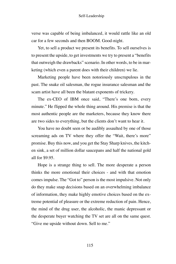verse was capable of being imbalanced, it would rattle like an old car for a few seconds and then BOOM. Good-night.

Yet, to sell a product we present its benefits. To sell ourselves is to present the upside, to get investments we try to present a "benefits that outweigh the drawbacks" scenario. In other words, to be in marketing (which even a parent does with their children) we lie.

Marketing people have been notoriously unscrupulous in the past. The snake oil salesman, the rogue insurance salesman and the scam artist have all been the blatant exponents of trickery.

The ex-CEO of IBM once said, "There's one born, every minute." He flipped the whole thing around. His premise is that the most authentic people are the marketers, because they know there are two sides to everything, but the clients don't want to hear it.

You have no doubt seen or be audibly assaulted by one of those screaming ads on TV where they offer the "Wait, there's more" promise. Buy this now, and you get the Stay Sharp knives, the kitchen sink, a set of million dollar saucepans and half the national gold all for \$9.95.

Hope is a strange thing to sell. The more desperate a person thinks the more emotional their choices - and with that emotion comes impulse. The "Got to" person is the most impulsive. Not only do they make snap decisions based on an overwhelming imbalance of information, they make highly emotive choices based on the extreme potential of pleasure or the extreme reduction of pain. Hence, the mind of the drug user, the alcoholic, the manic depressant or the desperate buyer watching the TV set are all on the same quest. "Give me upside without down. Sell to me."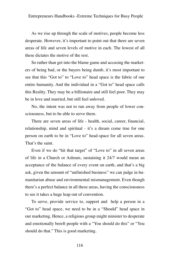As we rise up through the scale of motives, people become less desperate. However, it's important to point out that there are seven areas of life and seven levels of motive in each. The lowest of all these dictates the motive of the rest.

So rather than get into the blame game and accusing the marketers of being bad, or the buyers being dumb, it's most important to see that this "Got to" to "Love to" head space is the fabric of our entire humanity. And the individual in a "Got to" head space calls this Reality. They may be a billionaire and still feel poor. They may be in love and married, but still feel unloved.

No, the intent was not to run away from people of lower consciousness, but to be able to serve them.

There are seven areas of life - health, social, career, financial, relationship, mind and spiritual - it's a dream come true for one person on earth to be in "Love to" head-space for all seven areas. That's the saint.

Even if we do "hit that target" of "Love to" in all seven areas of life in a Church or Ashram, sustaining it 24/7 would mean an acceptance of the balance of every event on earth, and that's a big ask, given the amount of "unfinished business" we can judge in humanitarian abuse and environmental mismanagement. Even though there's a perfect balance in all these areas, having the consciousness to see it takes a huge leap out of convention.

To serve, provide service to, support and help a person in a "Got to" head space, we need to be in a "Should" head space in our marketing. Hence, a religious group might minister to desperate and emotionally bereft people with a "You should do this" or "You should do that." This is good marketing.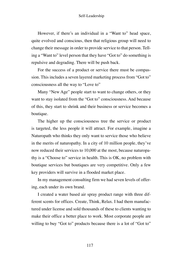However, if there's an individual in a "Want to" head space, quite evolved and conscious, then that religious group will need to change their message in order to provide service to that person. Telling a "Want to" level person that they have "Got to" do something is repulsive and degrading. There will be push back.

For the success of a product or service there must be compassion. This includes a seven layered marketing process from "Got to" consciousness all the way to "Love to"

Many "New Age" people start to want to change others, or they want to stay isolated from the "Got to" consciousness. And because of this, they start to shrink and their business or service becomes a boutique.

The higher up the consciousness tree the service or product is targeted, the less people it will attract. For example, imagine a Naturopath who thinks they only want to service those who believe in the merits of naturopathy. In a city of 10 million people, they've now reduced their services to 10,000 at the most, because naturopathy is a "Choose to" service in health. This is OK, no problem with boutique services but boutiques are very competitive. Only a few key providers will survive in a flooded market place.

In my management consulting firm we had seven levels of offering, each under its own brand.

I created a water based air spray product range with three different scents for offices. Create, Think, Relax. I had them manufactured under license and sold thousands of these to clients wanting to make their office a better place to work. Most corporate people are willing to buy "Got to" products because there is a lot of "Got to"

117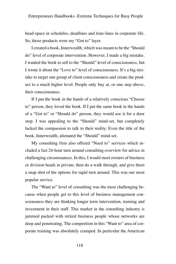head-space in schedules, deadlines and time-lines in corporate life. So, those products were my "Got to" layer.

I created a book, Innerwealth, which was meant to be the "Should do" level of corporate intervention. However, I made a big mistake. I wanted the book to sell to the "Should" level of consciousness, but I wrote it about the "Love to" level of consciousness. It's a big mistake to target one group of client consciousness and create the product to a much higher level. People only buy at, or one step above, their consciousness.

If I put the book in the hands of a relatively conscious "Choose to" person, they loved the book. If I put the same book in the hands of a "Got to" or "Should do" person, they would use it for a door stop. I was appealing to the "Should" mind-set, but completely lacked the compassion to talk to their reality. Even the title of the book, Innerwealth, alienated the "Should" mind-set.

My consulting firm also offered "Need to" services which included a fast 24-hour turn around consulting overview for advice in challenging circumstances. In this, I would meet owners of business or division heads in private, then do a walk through, and give them a snap shot of the options for rapid turn around. This was our most popular service.

The "Want to" level of consulting was the most challenging because when people get to this level of business management consciousness they are thinking longer term intervention, training and investment in their staff. This market in the consulting industry is jammed packed with retired business people whose networks are deep and penetrating. The competition in this "Want to" area of corporate training was absolutely cramped. In particular the American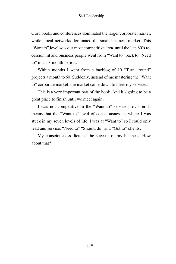Guru books and conferences dominated the larger corporate market, while local networks dominated the small business market. This "Want to" level was our most competitive area until the late 80's recession hit and business people went from "Want to" back to "Need to" in a six month period.

Within months I went from a backlog of 10 "Turn around" projects a month to 60. Suddenly, instead of me mastering the "Want to" corporate market, the market came down to meet my services.

This is a very important part of the book. And it's going to be a great place to finish until we meet again.

I was not competitive in the "Want to" service provision. It means that the "Want to" level of consciousness is where I was stuck in my seven levels of life. I was at "Want to" so I could only lead and service, "Need to" "Should do" and "Got to" clients.

My consciousness dictated the success of my business. How about that?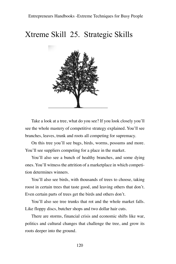## Xtreme Skill 25. Strategic Skills



Take a look at a tree, what do you see? If you look closely you'll see the whole mastery of competitive strategy explained. You'll see branches, leaves, trunk and roots all competing for supremacy.

On this tree you'll see bugs, birds, worms, possums and more. You'll see suppliers competing for a place in the market.

You'll also see a bunch of healthy branches, and some dying ones. You'll witness the attrition of a marketplace in which competition determines winners.

You'll also see birds, with thousands of trees to choose, taking roost in certain trees that taste good, and leaving others that don't. Even certain parts of trees get the birds and others don't.

You'll also see tree trunks that rot and the whole market falls. Like floppy discs, butcher shops and two dollar hair cuts.

There are storms, financial crisis and economic shifts like war, politics and cultural changes that challenge the tree, and grow its roots deeper into the ground.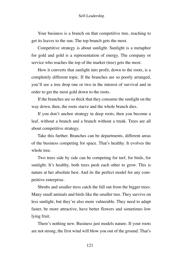Your business is a branch on that competitive tree, reaching to get its leaves to the sun. The top branch gets the most.

Competitive strategy is about sunlight. Sunlight is a metaphor for gold and gold is a representation of energy. The company or service who reaches the top of the market (tree) gets the most.

How it converts that sunlight into profit, down to the roots, is a completely different topic. If the branches are so poorly arranged, you'll see a tree drop one or two in the interest of survival and in order to get the most gold down to the roots.

If the branches are so thick that they consume the sunlight on the way down, then, the roots starve and the whole branch dies.

If you don't anchor strategy in deep roots, then you become a leaf, without a branch and a branch without a trunk. Trees are all about competitive strategy.

Take this further. Branches can be departments, different areas of the business competing for space. That's healthy. It evolves the whole tree.

Two trees side by side can be competing for turf, for birds, for sunlight. It's healthy, both trees push each other to grow. This is nature at her absolute best. And its the perfect model for any competitive enterprise.

Shrubs and smaller tress catch the fall out from the bigger trees. Many small animals and birds like the smaller tree. They survive on less sunlight, but they're also more vulnerable. They need to adapt faster, be more attractive, have better flowers and sometimes low lying fruit.

There's nothing new. Business just models nature. If your roots are not strong, the first wind will blow you out of the ground. That's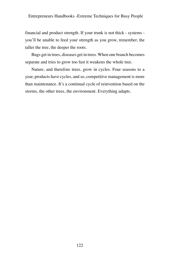financial and product strength. If your trunk is not thick - systems you'll be unable to feed your strength as you grow, remember, the taller the tree, the deeper the roots.

Bugs get in trees, diseases get in trees. When one branch becomes separate and tries to grow too fast it weakens the whole tree.

Nature, and therefore trees, grow in cycles. Four seasons to a year, products have cycles, and so, competitive management is more than maintenance. It's a continual cycle of reinvention based on the storms, the other trees, the environment. Everything adapts.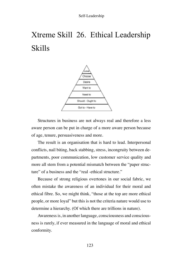# Xtreme Skill 26. Ethical Leadership Skills



Structures in business are not always real and therefore a less aware person can be put in charge of a more aware person because of age, tenure, persuasiveness and more.

The result is an organisation that is hard to lead. Interpersonal conflicts, nail biting, back stabbing, stress, incongruity between departments, poor communication, low customer service quality and more all stem from a potential mismatch between the "paper structure" of a business and the "real -ethical structure."

Because of strong religious overtones in our social fabric, we often mistake the awareness of an individual for their moral and ethical fibre. So, we might think, "those at the top are more ethical people, or more loyal" but this is not the criteria nature would use to determine a hierarchy. (Of which there are trillions in nature).

Awareness is, in another language, consciousness and consciousness is rarely, if ever measured in the language of moral and ethical conformity.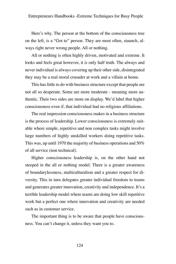Here's why. The person at the bottom of the consciousness tree on the left, is a "Got to" person. They are most often, staunch, always right never wrong people. All or nothing.

All or nothing is often highly driven, motivated and extreme. It looks and feels great however, it is only half truth. The always and never individual is always covering up their other side, disintegrated they may be a real moral crusader at work and a villain at home.

This has little to do with business structure except that people are not all so desperate. Some are more moderate - meaning more authentic. Their two sides are more on display. We'd label that higher consciousness even if, that individual had no religious affiliations.

The real impression consciousness makes in a business structure is the process of leadership. Lower consciousness is extremely suitable where simple, repetitive and non complex tasks might involve large numbers of highly unskilled workers doing repetitive tasks. This was, up until 1970 the majority of business operations and 50% of all service (non technical).

Higher consciousness leadership is, on the other hand not steeped in the all or nothing model. There is a greater awareness of boundarylessness, multiculturalism and a greater respect for diversity. This in turn delegates greater individual freedom to teams and generates greater innovation, creativity and independence. It's a terrible leadership model where teams are doing low skill repetitive work but a perfect one where innovation and creativity are needed such as in customer service.

The important thing is to be aware that people have consciousness. You can't change it, unless they want you to.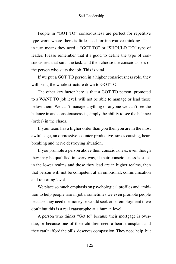People in "GOT TO" consciousness are perfect for repetitive type work where there is little need for innovative thinking. That in turn means they need a "GOT TO" or "SHOULD DO" type of leader. Please remember that it's good to define the type of consciousness that suits the task, and then choose the consciousness of the person who suits the job. This is vital.

If we put a GOT TO person in a higher consciousness role, they will bring the whole structure down to GOT TO.

The other key factor here is that a GOT TO person, promoted to a WANT TO job level, will not be able to manage or lead those below them. We can't manage anything or anyone we can't see the balance in and consciousness is, simply the ability to see the balance (order) in the chaos.

If your team has a higher order than you then you are in the most awful cage, an oppressive, counter-productive, stress causing, heart breaking and nerve destroying situation.

If you promote a person above their consciousness, even though they may be qualified in every way, if their consciousness is stuck in the lower realms and those they lead are in higher realms, then that person will not be competent at an emotional, communication and reporting level.

We place so much emphasis on psychological profiles and ambition to help people rise in jobs, sometimes we even promote people because they need the money or would seek other employment if we don't but this is a real catastrophe at a human level.

A person who thinks "Got to" because their mortgage is overdue, or because one of their children need a heart transplant and they can't afford the bills, deserves compassion. They need help, but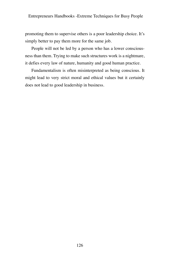promoting them to supervise others is a poor leadership choice. It's simply better to pay them more for the same job.

People will not be led by a person who has a lower consciousness than them. Trying to make such structures work is a nightmare, it defies every law of nature, humanity and good human practice.

Fundamentalism is often misinterpreted as being conscious. It might lead to very strict moral and ethical values but it certainly does not lead to good leadership in business.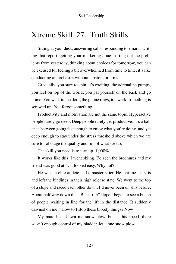## Xtreme Skill 27. Truth Skills

Sitting at your desk, answering calls, responding to emails, writing that report, getting your marketing done, sorting out the problems from yesterday, thinking about choices for tomorrow, you can be excused for feeling a bit overwhelmed from time to time, it's like conducting an orchestra without a baton, or arms.

Gradually, you start to spin, it's exciting, the adrenaline pumps, you feel on top of the world, you pat yourself on the back and go home. You walk in the door, the phone rings, it's work, something is screwed up. You forgot something...

Productivity and motivation are not the same topic. Hyperactive people rarely go deep. Deep people rarely get productive. It's a balance between going fast enough to enjoy what you're doing, and yet deep enough to stay under the stress threshold above which we are sure to sabotage the quality and fun of what we do.

The skill you need is to turn up, 1,000%.

It works like this. I went skiing. I'd seen the brochures and my friend was good at it. It looked easy. Why not?

He was an elite athlete and a master skier. He lent me his skis and left the bindings in their high release state. We went to the top of a slope and raced each other down, I'd never been on skis before. About half way down this "Black run" slope I began to see a bunch of people waiting in line for the lift in the distance. It suddenly dawned on me, "How to I stop these bloody things? Now!"

My mate had shown me snow plow, but at this speed, there wasn't enough control of my bladder, let alone snow plow...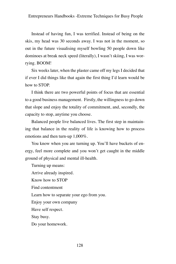Instead of having fun, I was terrified. Instead of being on the skis, my head was 30 seconds away. I was not in the moment, so out in the future visualising myself bowling 50 people down like dominoes at break neck speed (literally), I wasn't skiing, I was worrying. BOOM!

Six weeks later, when the plaster came off my legs I decided that if ever I did things like that again the first thing I'd learn would be how to STOP.

I think there are two powerful points of focus that are essential to a good business management. Firstly, the willingness to go down that slope and enjoy the totality of commitment, and, secondly, the capacity to stop, anytime you choose.

Balanced people live balanced lives. The first step in maintaining that balance in the reality of life is knowing how to process emotions and then turn-up 1,000%.

You know when you are turning up. You'll have buckets of energy, feel more complete and you won't get caught in the middle ground of physical and mental ill-health.

Turning up means: Arrive already inspired. Know how to STOP Find contentment Learn how to separate your ego from you. Enjoy your own company Have self respect. Stay busy. Do your homework.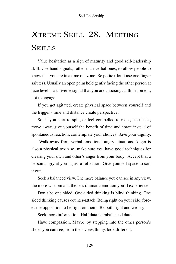# Xtreme Skill 28. Meeting **SKILLS**

Value hesitation as a sign of maturity and good self-leadership skill. Use hand signals, rather than verbal ones, to allow people to know that you are in a time out zone. Be polite (don't use one finger salutes). Usually an open palm held gently facing the other person at face level is a universe signal that you are choosing, at this moment, not to engage.

If you get agitated, create physical space between yourself and the trigger - time and distance create perspective.

So, if you start to spin, or feel compelled to react, step back, move away, give yourself the benefit of time and space instead of spontaneous reaction, contemplate your choices. Save your dignity.

 Walk away from verbal, emotional angry situations. Anger is also a physical toxin so, make sure you have good techniques for clearing your own and other's anger from your body. Accept that a person angry at you is just a reflection. Give yourself space to sort it out.

Seek a balanced view. The more balance you can see in any view, the more wisdom and the less dramatic emotion you'll experience.

Don't be one sided. One-sided thinking is blind thinking. One sided thinking causes counter-attack. Being right on your side, forces the opposition to be right on theirs. Be both right and wrong.

Seek more information. Half data is imbalanced data.

Have compassion. Maybe by stepping into the other person's shoes you can see, from their view, things look different.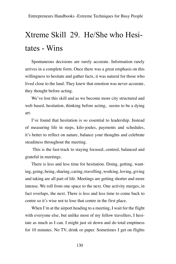## Xtreme Skill 29. He/She who Hesitates - Wins

Spontaneous decisions are rarely accurate. Information rarely arrives in a complete form. Once there was a great emphasis on this willingness to hesitate and gather facts, it was natural for those who lived close to the land. They knew that emotion was never accurate, they thought before acting.

We've lost this skill and as we become more city structured and web based, hesitation, thinking before acting, seems to be a dying art.

I've found that hesitation is so essential to leadership. Instead of measuring life in steps, kilo-joules, payments and schedules, it's better to reflect on nature, balance your thoughts and celebrate steadiness throughout the meeting.

 This is the fast-track to staying focused, centred, balanced and grateful in meetings.

There is less and less time for hesitation. Doing, getting, wanting, going, being, sharing, caring, travelling, working, loving, giving and taking are all part of life. Meetings are getting shorter and more intense. We roll from one space to the next. One activity merges, in fact overlaps, the next. There is less and less time to come back to centre so it's wise not to lose that centre in the first place.

When I'm at the airport heading to a meeting, I wait for the flight with everyone else, but unlike most of my fellow travellers, I hesitate as much as I can. I might just sit down and do total emptiness for 10 minutes. No TV, drink or paper. Sometimes I get on flights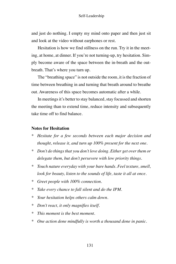and just do nothing. I empty my mind onto paper and then just sit and look at the video without earphones or rest.

Hesitation is how we find stillness on the run. Try it in the meeting, at home, at dinner. If you're not turning-up, try hesitation. Simply become aware of the space between the in-breath and the outbreath. That's where you turn up.

The "breathing space" is not outside the room, it is the fraction of time between breathing in and turning that breath around to breathe out. Awareness of this space becomes automatic after a while.

In meetings it's better to stay balanced, stay focussed and shorten the meeting than to extend time, reduce intensity and subsequently take time off to find balance.

#### **Notes for Hesitation**

- *\* Hesitate for a few seconds between each major decision and thought, release it, and turn up 100% present for the next one.*
- *\* Don't do things that you don't love doing. Either get over them or delegate them, but don't persevere with low priority things.*
- *\* Touch nature everyday with your bare hands. Feel texture, smell, look for beauty, listen to the sounds of life, taste it all at once.*
- *\* Greet people with 100% connection.*
- *\* Take every chance to fall silent and do the IPM.*
- *\* Your hesitation helps others calm down.*
- *\* Don't react, it only magnifies itself.*
- *\* This moment is the best moment.*
- *\* One action done mindfully is worth a thousand done in panic.*